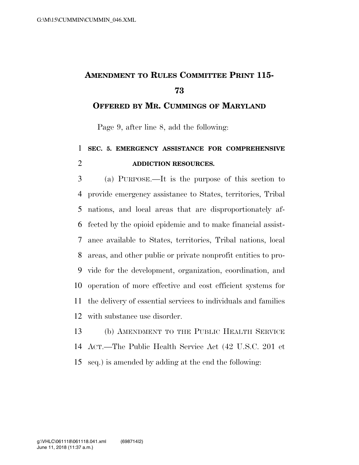## **AMENDMENT TO RULES COMMITTEE PRINT 115-**

**OFFERED BY MR. CUMMINGS OF MARYLAND**

Page 9, after line 8, add the following:

## **SEC. 5. EMERGENCY ASSISTANCE FOR COMPREHENSIVE ADDICTION RESOURCES.**

 (a) PURPOSE.—It is the purpose of this section to provide emergency assistance to States, territories, Tribal nations, and local areas that are disproportionately af- fected by the opioid epidemic and to make financial assist- ance available to States, territories, Tribal nations, local areas, and other public or private nonprofit entities to pro- vide for the development, organization, coordination, and operation of more effective and cost efficient systems for the delivery of essential services to individuals and families with substance use disorder.

 (b) AMENDMENT TO THE PUBLIC HEALTH SERVICE ACT.—The Public Health Service Act (42 U.S.C. 201 et seq.) is amended by adding at the end the following: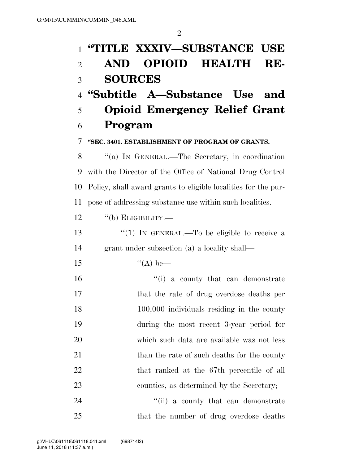| $\mathbf{1}$   | "TITLE XXXIV—SUBSTANCE USE                                     |  |
|----------------|----------------------------------------------------------------|--|
| $\overline{2}$ | <b>OPIOID HEALTH</b><br>AND<br>RE-                             |  |
| 3              | <b>SOURCES</b>                                                 |  |
| $\overline{4}$ | "Subtitle A—Substance Use and                                  |  |
| 5              | <b>Opioid Emergency Relief Grant</b>                           |  |
| 6              | Program                                                        |  |
| 7              | "SEC. 3401. ESTABLISHMENT OF PROGRAM OF GRANTS.                |  |
| 8              | "(a) IN GENERAL.—The Secretary, in coordination                |  |
| 9              | with the Director of the Office of National Drug Control       |  |
| 10             | Policy, shall award grants to eligible localities for the pur- |  |
| 11             | pose of addressing substance use within such localities.       |  |
| 12             | $\lq\lq(b)$ ELIGIBILITY.—                                      |  |
| 13             | "(1) IN GENERAL.—To be eligible to receive a                   |  |
| 14             | grant under subsection (a) a locality shall—                   |  |
| 15             | $\lq (A)$ be—                                                  |  |
| 16             | "(i) a county that can demonstrate                             |  |
| 17             | that the rate of drug overdose deaths per                      |  |
| 18             | $100,000$ individuals residing in the county                   |  |
| 19             | during the most recent 3-year period for                       |  |
| 20             | which such data are available was not less                     |  |
| 21             | than the rate of such deaths for the county                    |  |
| 22             | that ranked at the 67th percentile of all                      |  |
| 23             | counties, as determined by the Secretary;                      |  |
| 24             | "(ii) a county that can demonstrate                            |  |
| 25             | that the number of drug overdose deaths                        |  |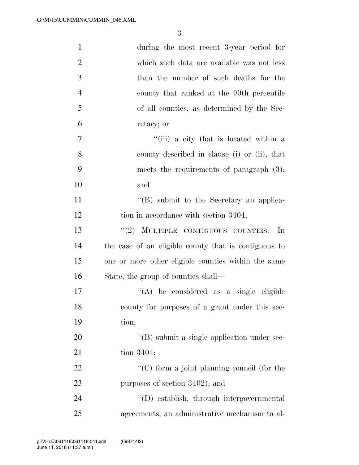| $\mathbf{1}$   | during the most recent 3-year period for             |
|----------------|------------------------------------------------------|
| $\overline{2}$ | which such data are available was not less           |
| 3              | than the number of such deaths for the               |
| $\overline{4}$ | county that ranked at the 90th percentile            |
| 5              | of all counties, as determined by the Sec-           |
| 6              | retary; or                                           |
| 7              | "(iii) a city that is located within a               |
| 8              | county described in clause (i) or (ii), that         |
| 9              | meets the requirements of paragraph $(3)$ ;          |
| 10             | and                                                  |
| 11             | "(B) submit to the Secretary an applica-             |
| 12             | tion in accordance with section 3404.                |
| 13             | "(2) MULTIPLE CONTIGUOUS COUNTIES.—In                |
| 14             | the case of an eligible county that is contiguous to |
| 15             | one or more other eligible counties within the same  |
| 16             | State, the group of counties shall—                  |
| 17             | "(A) be considered as a single eligible              |
| 18             | county for purposes of a grant under this sec-       |
| 19             | tion;                                                |
| 20             | "(B) submit a single application under sec-          |
| 21             | tion $3404$ ;                                        |
| 22             | $\lq\lq$ (C) form a joint planning council (for the  |
| 23             | purposes of section 3402); and                       |
| 24             | "(D) establish, through intergovernmental            |
| 25             | agreements, an administrative mechanism to al-       |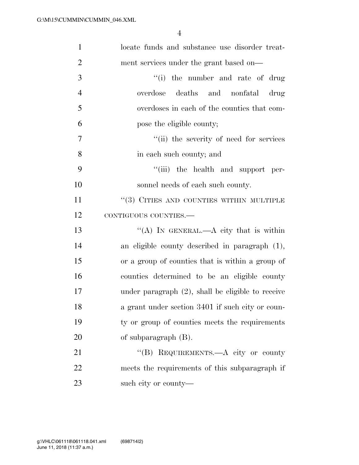| $\mathbf{1}$   | locate funds and substance use disorder treat-       |
|----------------|------------------------------------------------------|
| $\overline{2}$ | ment services under the grant based on—              |
| 3              | "(i) the number and rate of drug                     |
| $\overline{4}$ | overdose deaths and nonfatal drug                    |
| 5              | overdoses in each of the counties that com-          |
| 6              | pose the eligible county;                            |
| $\tau$         | "(ii) the severity of need for services              |
| 8              | in each such county; and                             |
| 9              | "(iii) the health and support per-                   |
| 10             | sonnel needs of each such county.                    |
| 11             | $``(3)$ CITIES AND COUNTIES WITHIN MULTIPLE          |
| 12             | CONTIGUOUS COUNTIES.-                                |
| 13             | "(A) IN GENERAL.—A city that is within               |
| 14             | an eligible county described in paragraph (1),       |
| 15             | or a group of counties that is within a group of     |
| 16             | counties determined to be an eligible county         |
| 17             | under paragraph $(2)$ , shall be eligible to receive |
| 18             | a grant under section 3401 if such city or coun-     |
| 19             | ty or group of counties meets the requirements       |
| 20             | of subparagraph $(B)$ .                              |
| 21             | "(B) REQUIREMENTS.—A city or county                  |
| 22             | meets the requirements of this subparagraph if       |
| 23             | such city or county—                                 |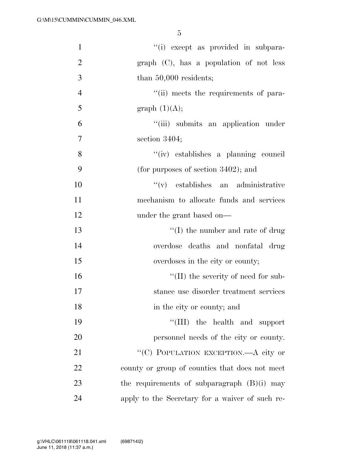| $\mathbf{1}$     | "(i) except as provided in subpara-             |
|------------------|-------------------------------------------------|
| $\overline{2}$   | $graph$ (C), has a population of not less       |
| 3                | than $50,000$ residents;                        |
| $\overline{4}$   | "(ii) meets the requirements of para-           |
| 5                | graph $(1)(A);$                                 |
| 6                | "(iii) submits an application under             |
| $\boldsymbol{7}$ | section 3404;                                   |
| 8                | "(iv) establishes a planning council            |
| 9                | (for purposes of section $3402$ ); and          |
| 10               | $f'(v)$ establishes an administrative           |
| 11               | mechanism to allocate funds and services        |
| 12               | under the grant based on—                       |
| 13               | $\lq\lq$ (I) the number and rate of drug        |
| 14               | overdose deaths and nonfatal drug               |
| 15               | overdoses in the city or county;                |
| 16               | $\lq\lq$ (II) the severity of need for sub-     |
| 17               | stance use disorder treatment services          |
| 18               | in the city or county; and                      |
| 19               | "(III) the health and support                   |
| 20               | personnel needs of the city or county.          |
| 21               | "(C) POPULATION EXCEPTION.—A city or            |
| 22               | county or group of counties that does not meet  |
| 23               | the requirements of subparagraph $(B)(i)$ may   |
| 24               | apply to the Secretary for a waiver of such re- |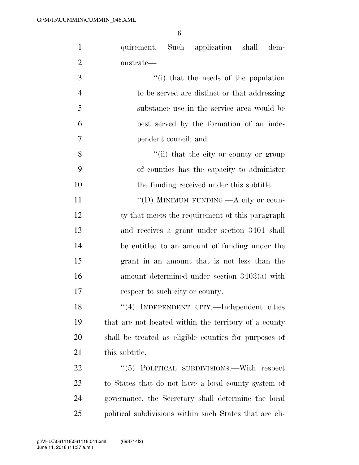| $\mathbf{1}$   | quirement. Such application shall<br>dem-               |  |  |  |
|----------------|---------------------------------------------------------|--|--|--|
| $\overline{2}$ | onstrate—                                               |  |  |  |
| 3              | "(i) that the needs of the population                   |  |  |  |
| $\overline{4}$ | to be served are distinct or that addressing            |  |  |  |
| 5              | substance use in the service area would be              |  |  |  |
| 6              | best served by the formation of an inde-                |  |  |  |
| 7              | pendent council; and                                    |  |  |  |
| 8              | "(ii) that the city or county or group                  |  |  |  |
| 9              | of counties has the capacity to administer              |  |  |  |
| 10             | the funding received under this subtitle.               |  |  |  |
| 11             | "(D) MINIMUM FUNDING.—A city or coun-                   |  |  |  |
| 12             | ty that meets the requirement of this paragraph         |  |  |  |
| 13             | and receives a grant under section 3401 shall           |  |  |  |
| 14             | be entitled to an amount of funding under the           |  |  |  |
| 15             | grant in an amount that is not less than the            |  |  |  |
| 16             | amount determined under section $3403(a)$ with          |  |  |  |
| 17             | respect to such city or county.                         |  |  |  |
| 18             | "(4) INDEPENDENT CITY.—Independent cities               |  |  |  |
| 19             | that are not located within the territory of a county   |  |  |  |
| 20             | shall be treated as eligible counties for purposes of   |  |  |  |
| 21             | this subtitle.                                          |  |  |  |
| 22             | "(5) POLITICAL SUBDIVISIONS.—With respect               |  |  |  |
| 23             | to States that do not have a local county system of     |  |  |  |
| 24             | governance, the Secretary shall determine the local     |  |  |  |
| 25             | political subdivisions within such States that are eli- |  |  |  |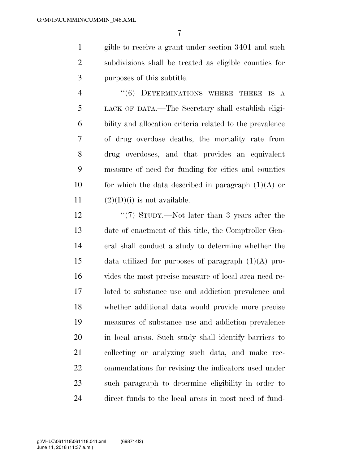gible to receive a grant under section 3401 and such subdivisions shall be treated as eligible counties for purposes of this subtitle.

4 "(6) DETERMINATIONS WHERE THERE IS A LACK OF DATA.—The Secretary shall establish eligi- bility and allocation criteria related to the prevalence of drug overdose deaths, the mortality rate from drug overdoses, and that provides an equivalent measure of need for funding for cities and counties 10 for which the data described in paragraph  $(1)(A)$  or  $(2)(D)(i)$  is not available.

12 ''(7) STUDY.—Not later than 3 years after the date of enactment of this title, the Comptroller Gen- eral shall conduct a study to determine whether the 15 data utilized for purposes of paragraph  $(1)(A)$  pro- vides the most precise measure of local area need re- lated to substance use and addiction prevalence and whether additional data would provide more precise measures of substance use and addiction prevalence in local areas. Such study shall identify barriers to collecting or analyzing such data, and make rec- ommendations for revising the indicators used under such paragraph to determine eligibility in order to direct funds to the local areas in most need of fund-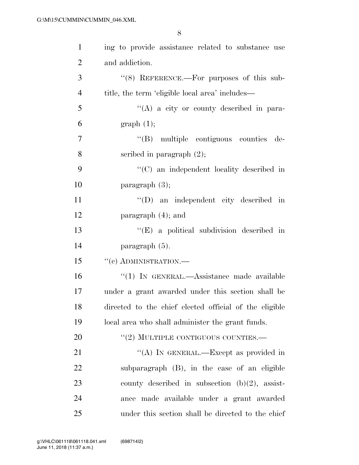| $\mathbf{1}$   | ing to provide assistance related to substance use     |
|----------------|--------------------------------------------------------|
| $\overline{2}$ | and addiction.                                         |
| 3              | $\cdot$ (8) REFERENCE.—For purposes of this sub-       |
| $\overline{4}$ | title, the term 'eligible local area' includes—        |
| 5              | $\lq\lq(A)$ a city or county described in para-        |
| 6              | graph(1);                                              |
| $\overline{7}$ | "(B) multiple contiguous counties de-                  |
| 8              | scribed in paragraph $(2)$ ;                           |
| 9              | $\cdot$ (C) an independent locality described in       |
| 10             | paragraph $(3)$ ;                                      |
| 11             | $\lq\lq$ (D) an independent city described in          |
| 12             | paragraph $(4)$ ; and                                  |
| 13             | $\lq\lq$ (E) a political subdivision described in      |
| 14             | paragraph (5).                                         |
| 15             | $``(c)$ ADMINISTRATION.—                               |
| 16             | "(1) IN GENERAL.—Assistance made available             |
| 17             | under a grant awarded under this section shall be      |
| 18             | directed to the chief elected official of the eligible |
| 19             | local area who shall administer the grant funds.       |
| 20             | $``(2)$ MULTIPLE CONTIGUOUS COUNTIES.—                 |
| 21             | "(A) IN GENERAL.—Except as provided in                 |
| 22             | subparagraph (B), in the case of an eligible           |
| 23             | county described in subsection $(b)(2)$ , assist-      |
| 24             | ance made available under a grant awarded              |
| 25             | under this section shall be directed to the chief      |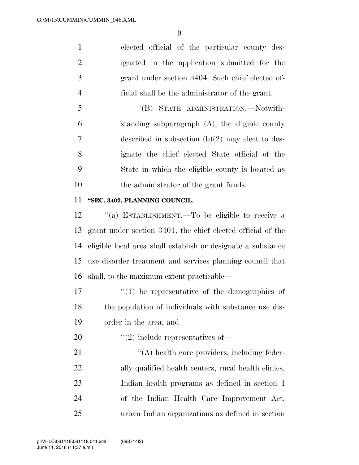elected official of the particular county des- ignated in the application submitted for the grant under section 3404. Such chief elected of-ficial shall be the administrator of the grant.

 ''(B) STATE ADMINISTRATION.—Notwith- standing subparagraph (A), the eligible county described in subsection (b)(2) may elect to des- ignate the chief elected State official of the State in which the eligible county is located as the administrator of the grant funds.

## **''SEC. 3402. PLANNING COUNCIL.**

 ''(a) ESTABLISHMENT.—To be eligible to receive a grant under section 3401, the chief elected official of the eligible local area shall establish or designate a substance use disorder treatment and services planning council that shall, to the maximum extent practicable—

 $\mathcal{U}(1)$  be representative of the demographics of the population of individuals with substance use dis-order in the area; and

20  $\frac{1}{2}$   $\frac{1}{2}$  include representatives of —

 $\langle (A) \rangle$  health care providers, including feder-22 ally qualified health centers, rural health clinics, Indian health programs as defined in section 4 of the Indian Health Care Improvement Act, urban Indian organizations as defined in section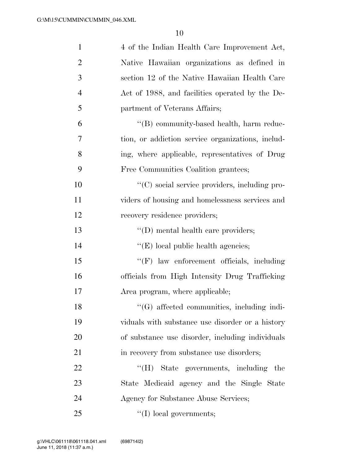| $\mathbf{1}$   | 4 of the Indian Health Care Improvement Act,        |
|----------------|-----------------------------------------------------|
| $\overline{2}$ | Native Hawaiian organizations as defined in         |
| 3              | section 12 of the Native Hawaiian Health Care       |
| $\overline{4}$ | Act of 1988, and facilities operated by the De-     |
| 5              | partment of Veterans Affairs;                       |
| 6              | "(B) community-based health, harm reduc-            |
| 7              | tion, or addiction service organizations, includ-   |
| 8              | ing, where applicable, representatives of Drug      |
| 9              | Free Communities Coalition grantees;                |
| 10             | "(C) social service providers, including pro-       |
| 11             | viders of housing and homelessness services and     |
| 12             | recovery residence providers;                       |
| 13             | $\lq\lq$ (D) mental health care providers;          |
| 14             | $\lq\lq$ (E) local public health agencies;          |
| 15             | "(F) law enforcement officials, including           |
| 16             | officials from High Intensity Drug Trafficking      |
| 17             | Area program, where applicable;                     |
| 18             | "(G) affected communities, including indi-          |
| 19             | viduals with substance use disorder or a history    |
| 20             | of substance use disorder, including individuals    |
| 21             | in recovery from substance use disorders;           |
| 22             | $\rm ^{44}$ (H)<br>State governments, including the |
| 23             | State Medicaid agency and the Single State          |
| 24             | Agency for Substance Abuse Services;                |
| 25             | $\lq\lq$ (I) local governments;                     |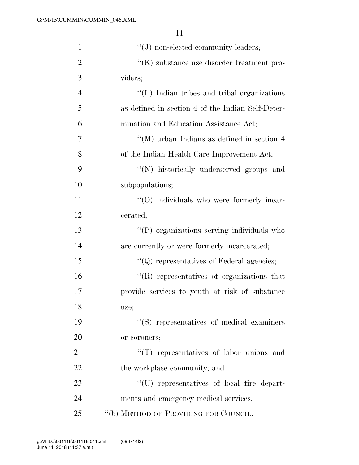| $\mathbf{1}$   | $\lq\lq(J)$ non-elected community leaders;        |
|----------------|---------------------------------------------------|
| $\overline{2}$ | $\lq\lq(K)$ substance use disorder treatment pro- |
| 3              | viders;                                           |
| $\overline{4}$ | "(L) Indian tribes and tribal organizations       |
| 5              | as defined in section 4 of the Indian Self-Deter- |
| 6              | mination and Education Assistance Act;            |
| 7              | "(M) urban Indians as defined in section $4$      |
| 8              | of the Indian Health Care Improvement Act;        |
| 9              | "(N) historically underserved groups and          |
| 10             | subpopulations;                                   |
| 11             | $\cdot$ (O) individuals who were formerly incar-  |
| 12             | cerated;                                          |
| 13             | "(P) organizations serving individuals who        |
| 14             | are currently or were formerly incarcerated;      |
| 15             | $\lq\lq Q$ representatives of Federal agencies;   |
| 16             | "(R) representatives of organizations that        |
| 17             | provide services to youth at risk of substance    |
| 18             | use;                                              |
| 19             | "(S) representatives of medical examiners         |
| 20             | or coroners;                                      |
| 21             | $\lq\lq$ representatives of labor unions and      |
| 22             | the workplace community; and                      |
| 23             | "(U) representatives of local fire depart-        |
| 24             | ments and emergency medical services.             |
| 25             | "(b) METHOD OF PROVIDING FOR COUNCIL.—            |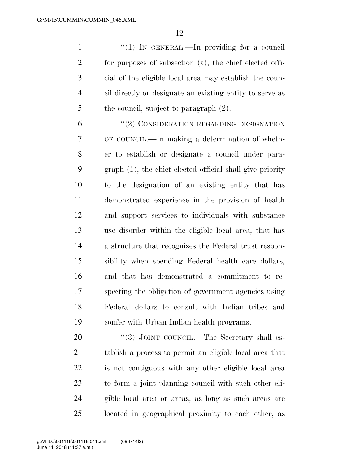1 "(1) In GENERAL.—In providing for a council for purposes of subsection (a), the chief elected offi- cial of the eligible local area may establish the coun- cil directly or designate an existing entity to serve as 5 the council, subject to paragraph  $(2)$ .

6 "(2) CONSIDERATION REGARDING DESIGNATION OF COUNCIL.—In making a determination of wheth- er to establish or designate a council under para- graph (1), the chief elected official shall give priority to the designation of an existing entity that has demonstrated experience in the provision of health and support services to individuals with substance use disorder within the eligible local area, that has a structure that recognizes the Federal trust respon- sibility when spending Federal health care dollars, and that has demonstrated a commitment to re- specting the obligation of government agencies using Federal dollars to consult with Indian tribes and confer with Urban Indian health programs.

20 "(3) JOINT COUNCIL.—The Secretary shall es- tablish a process to permit an eligible local area that is not contiguous with any other eligible local area to form a joint planning council with such other eli- gible local area or areas, as long as such areas are located in geographical proximity to each other, as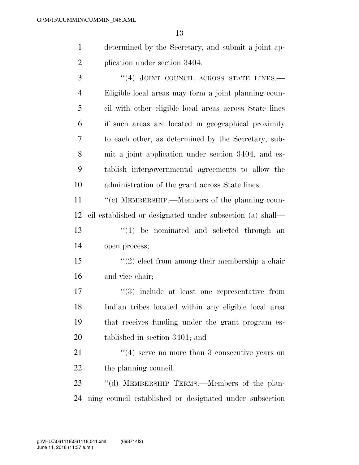determined by the Secretary, and submit a joint ap-plication under section 3404.

3 "(4) JOINT COUNCIL ACROSS STATE LINES. Eligible local areas may form a joint planning coun- cil with other eligible local areas across State lines if such areas are located in geographical proximity to each other, as determined by the Secretary, sub- mit a joint application under section 3404, and es- tablish intergovernmental agreements to allow the administration of the grant across State lines.

 $\cdot$  (c) MEMBERSHIP.—Members of the planning coun- cil established or designated under subsection (a) shall— 13 ''(1) be nominated and selected through an open process;

 ''(2) elect from among their membership a chair and vice chair;

 $\frac{17}{2}$   $\frac{17}{2}$  include at least one representative from Indian tribes located within any eligible local area that receives funding under the grant program es-tablished in section 3401; and

21 ''(4) serve no more than 3 consecutive years on 22 the planning council.

23 "(d) MEMBERSHIP TERMS.—Members of the plan-ning council established or designated under subsection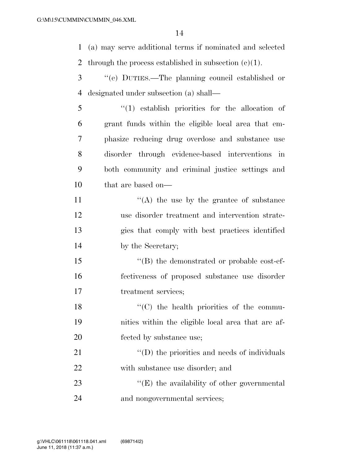(a) may serve additional terms if nominated and selected 2 through the process established in subsection  $(c)(1)$ .

- ''(e) DUTIES.—The planning council established or designated under subsection (a) shall—
- ''(1) establish priorities for the allocation of grant funds within the eligible local area that em- phasize reducing drug overdose and substance use disorder through evidence-based interventions in both community and criminal justice settings and that are based on—

 $((A)$  the use by the grantee of substance use disorder treatment and intervention strate- gies that comply with best practices identified by the Secretary;

15  $\langle$  (B) the demonstrated or probable cost-ef- fectiveness of proposed substance use disorder treatment services;

18  $\cdot$  (C) the health priorities of the commu- nities within the eligible local area that are af-fected by substance use;

21  $\cdot$  (D) the priorities and needs of individuals with substance use disorder; and

23  $\langle E \rangle$  the availability of other governmental and nongovernmental services;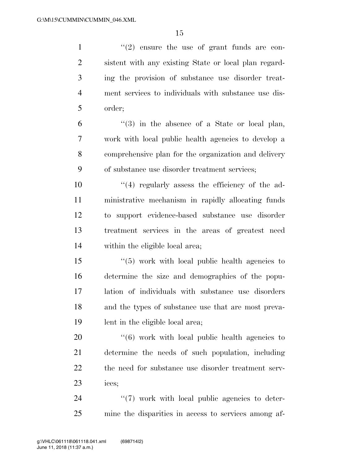$\frac{1}{2}$  ''(2) ensure the use of grant funds are con- sistent with any existing State or local plan regard- ing the provision of substance use disorder treat- ment services to individuals with substance use dis- order; ''(3) in the absence of a State or local plan, work with local public health agencies to develop a comprehensive plan for the organization and delivery of substance use disorder treatment services;  $(4)$  regularly assess the efficiency of the ad- ministrative mechanism in rapidly allocating funds to support evidence-based substance use disorder treatment services in the areas of greatest need within the eligible local area; ''(5) work with local public health agencies to determine the size and demographics of the popu- lation of individuals with substance use disorders and the types of substance use that are most preva- lent in the eligible local area;  $\frac{1}{16}$  work with local public health agencies to determine the needs of such population, including

ices;

24  $\frac{1}{2}$  (7) work with local public agencies to deter-mine the disparities in access to services among af-

the need for substance use disorder treatment serv-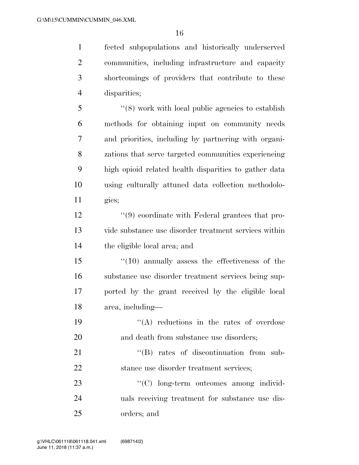fected subpopulations and historically underserved communities, including infrastructure and capacity shortcomings of providers that contribute to these disparities;

 ''(8) work with local public agencies to establish methods for obtaining input on community needs and priorities, including by partnering with organi- zations that serve targeted communities experiencing high opioid related health disparities to gather data using culturally attuned data collection methodolo-gies;

 ''(9) coordinate with Federal grantees that pro- vide substance use disorder treatment services within the eligible local area; and

 ''(10) annually assess the effectiveness of the substance use disorder treatment services being sup- ported by the grant received by the eligible local area, including—

19  $\langle (A) \rangle$  reductions in the rates of overdose 20 and death from substance use disorders:

21  $\cdot$  (B) rates of discontinuation from sub-22 stance use disorder treatment services;

23  $\cdot$  (C) long-term outcomes among individ- uals receiving treatment for substance use dis-orders; and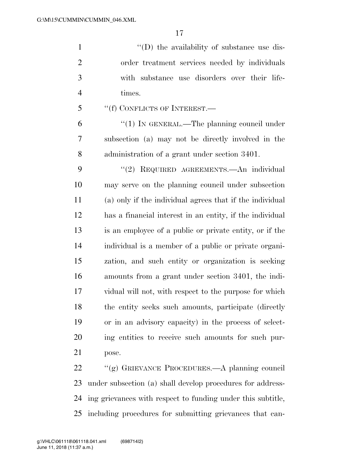$\langle (D)$  the availability of substance use dis- order treatment services needed by individuals with substance use disorders over their life-times.

''(f) CONFLICTS OF INTEREST.—

6 "(1) In GENERAL.—The planning council under subsection (a) may not be directly involved in the administration of a grant under section 3401.

 ''(2) REQUIRED AGREEMENTS.—An individual may serve on the planning council under subsection (a) only if the individual agrees that if the individual has a financial interest in an entity, if the individual is an employee of a public or private entity, or if the individual is a member of a public or private organi- zation, and such entity or organization is seeking amounts from a grant under section 3401, the indi- vidual will not, with respect to the purpose for which the entity seeks such amounts, participate (directly or in an advisory capacity) in the process of select- ing entities to receive such amounts for such pur-pose.

 ''(g) GRIEVANCE PROCEDURES.—A planning council under subsection (a) shall develop procedures for address- ing grievances with respect to funding under this subtitle, including procedures for submitting grievances that can-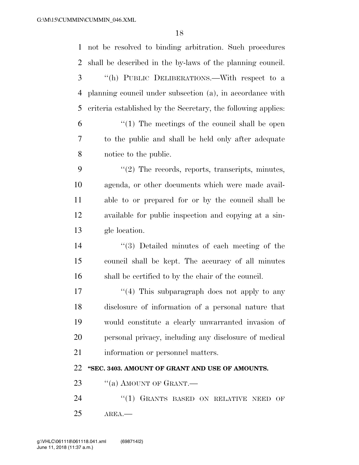| $\mathbf{1}$ | not be resolved to binding arbitration. Such procedures       |
|--------------|---------------------------------------------------------------|
| 2            | shall be described in the by-laws of the planning council.    |
| 3            | "(h) PUBLIC DELIBERATIONS.—With respect to a                  |
| 4            | planning council under subsection (a), in accordance with     |
| 5            | criteria established by the Secretary, the following applies: |
| 6            | $\lq(1)$ The meetings of the council shall be open            |
| 7            | to the public and shall be held only after adequate           |
| 8            | notice to the public.                                         |
| 9            | $\lq(2)$ The records, reports, transcripts, minutes,          |
| 10           | agenda, or other documents which were made avail-             |
| 11           | able to or prepared for or by the council shall be            |
| 12           | available for public inspection and copying at a sin-         |
| 13           | gle location.                                                 |
| 14           | $\lq(3)$ Detailed minutes of each meeting of the              |
| 15           | council shall be kept. The accuracy of all minutes            |
| 16           | shall be certified to by the chair of the council.            |
| 17           | $\lq(4)$ This subparagraph does not apply to any              |
| 18           | disclosure of information of a personal nature that           |
| 19           | would constitute a clearly unwarranted invasion of            |
| 20           | personal privacy, including any disclosure of medical         |
| 21           | information or personnel matters.                             |
| 22           | "SEC. 3403. AMOUNT OF GRANT AND USE OF AMOUNTS.               |
| 23           | "(a) AMOUNT OF GRANT.—                                        |
| 24           | "(1) GRANTS BASED ON RELATIVE NEED<br>OF                      |
| 25           | AREA.                                                         |
|              |                                                               |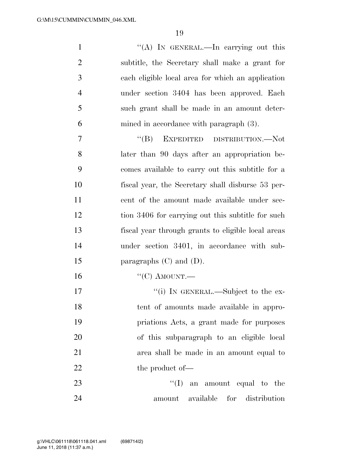1 ''(A) In GENERAL.—In carrying out this subtitle, the Secretary shall make a grant for each eligible local area for which an application under section 3404 has been approved. Each such grant shall be made in an amount deter- mined in accordance with paragraph (3). ''(B) EXPEDITED DISTRIBUTION.—Not

 later than 90 days after an appropriation be- comes available to carry out this subtitle for a fiscal year, the Secretary shall disburse 53 per- cent of the amount made available under sec- tion 3406 for carrying out this subtitle for such fiscal year through grants to eligible local areas under section 3401, in accordance with sub-15 paragraphs (C) and (D).

16 "(C) AMOUNT.—

17 ''(i) IN GENERAL.—Subject to the ex- tent of amounts made available in appro- priations Acts, a grant made for purposes of this subparagraph to an eligible local area shall be made in an amount equal to 22 the product of —

23  $\text{``(I)}$  an amount equal to the amount available for distribution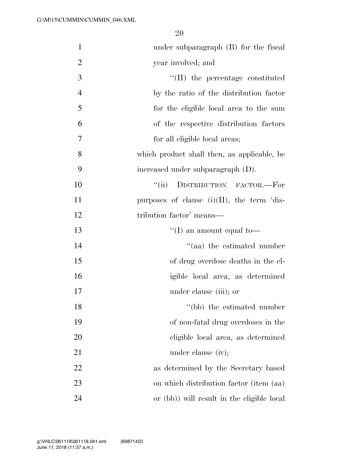| $\mathbf{1}$   | under subparagraph $(B)$ for the fiscal       |
|----------------|-----------------------------------------------|
| $\overline{2}$ | year involved; and                            |
| 3              | $\lq$ (II) the percentage constituted         |
| $\overline{4}$ | by the ratio of the distribution factor       |
| 5              | for the eligible local area to the sum        |
| 6              | of the respective distribution factors        |
| 7              | for all eligible local areas;                 |
| 8              | which product shall then, as applicable, be   |
| 9              | increased under subparagraph (D).             |
| 10             | DISTRIBUTION FACTOR.-For<br>``(ii)            |
| 11             | purposes of clause $(i)(II)$ , the term 'dis- |
| 12             | tribution factor' means—                      |
| 13             | "(I) an amount equal to-                      |
| 14             | "(aa) the estimated number                    |
| 15             | of drug overdose deaths in the el-            |
| 16             | igible local area, as determined              |
| 17             | under clause (iii); or                        |
| 18             | "(bb) the estimated number                    |
| 19             | of non-fatal drug overdoses in the            |
| 20             | eligible local area, as determined            |
| 21             | under clause (iv);                            |
| 22             | as determined by the Secretary based          |
| 23             | on which distribution factor (item (aa)       |
| 24             | or (bb)) will result in the eligible local    |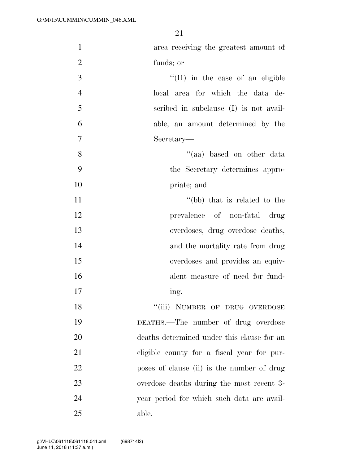| $\mathbf{1}$   | area receiving the greatest amount of      |
|----------------|--------------------------------------------|
| $\overline{2}$ | funds; or                                  |
| 3              | $\lq\lq$ (II) in the case of an eligible   |
| $\overline{4}$ | local area for which the data de-          |
| 5              | scribed in subclause (I) is not avail-     |
| 6              | able, an amount determined by the          |
| $\overline{7}$ | Secretary—                                 |
| 8              | "(aa) based on other data                  |
| 9              | the Secretary determines appro-            |
| 10             | priate; and                                |
| 11             | "(bb) that is related to the               |
| 12             | prevalence of non-fatal drug               |
| 13             | overdoses, drug overdose deaths,           |
| 14             | and the mortality rate from drug           |
| 15             | overdoses and provides an equiv-           |
| 16             | alent measure of need for fund-            |
| 17             | ing.                                       |
| 18             | "(iii) NUMBER OF DRUG OVERDOSE             |
| 19             | DEATHS.—The number of drug overdose        |
| 20             | deaths determined under this clause for an |
| 21             | eligible county for a fiscal year for pur- |
| 22             | poses of clause (ii) is the number of drug |
| 23             | overdose deaths during the most recent 3-  |
| 24             | year period for which such data are avail- |
| 25             | able.                                      |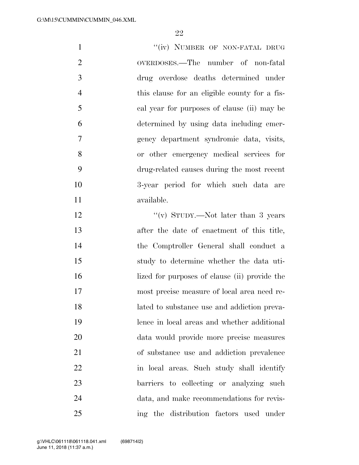| $\mathbf{1}$   | "(iv) NUMBER OF NON-FATAL DRUG                |
|----------------|-----------------------------------------------|
| $\overline{2}$ | OVERDOSES.—The number of non-fatal            |
| 3              | drug overdose deaths determined under         |
| $\overline{4}$ | this clause for an eligible county for a fis- |
| 5              | cal year for purposes of clause (ii) may be   |
| 6              | determined by using data including emer-      |
| $\overline{7}$ | gency department syndromic data, visits,      |
| 8              | or other emergency medical services for       |
| 9              | drug-related causes during the most recent    |
| 10             | 3-year period for which such data are         |
| 11             | available.                                    |
| 12             | "(v) STUDY.—Not later than 3 years            |
| 13             | after the date of enactment of this title,    |
| 14             | the Comptroller General shall conduct a       |
| 15             | study to determine whether the data uti-      |
| $\sim$         |                                               |

16 lized for purposes of clause (ii) provide the most precise measure of local area need re- lated to substance use and addiction preva- lence in local areas and whether additional data would provide more precise measures of substance use and addiction prevalence in local areas. Such study shall identify barriers to collecting or analyzing such data, and make recommendations for revis-ing the distribution factors used under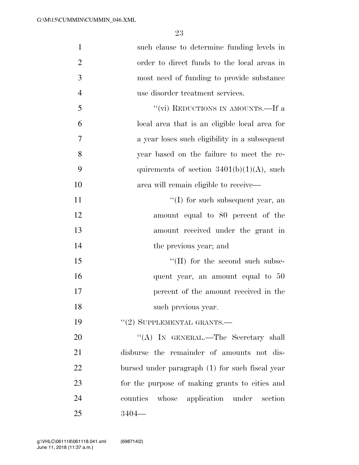| $\mathbf{1}$   | such clause to determine funding levels in      |
|----------------|-------------------------------------------------|
| $\overline{2}$ | order to direct funds to the local areas in     |
| 3              | most need of funding to provide substance       |
| $\overline{4}$ | use disorder treatment services.                |
| 5              | "(vi) REDUCTIONS IN AMOUNTS.—If a               |
| 6              | local area that is an eligible local area for   |
| 7              | a year loses such eligibility in a subsequent   |
| 8              | year based on the failure to meet the re-       |
| 9              | quirements of section $3401(b)(1)(A)$ , such    |
| 10             | area will remain eligible to receive—           |
| 11             | $\lq\lq$ for such subsequent year, an           |
| 12             | amount equal to 80 percent of the               |
| 13             | amount received under the grant in              |
| 14             | the previous year; and                          |
| 15             | $\lq\lq$ (II) for the second such subse-        |
| 16             | quent year, an amount equal to 50               |
| 17             | percent of the amount received in the           |
| 18             | such previous year.                             |
| 19             | $"(2)$ SUPPLEMENTAL GRANTS.—                    |
| 20             | "(A) IN GENERAL.—The Secretary shall            |
| 21             | disburse the remainder of amounts not dis-      |
| 22             | bursed under paragraph (1) for such fiscal year |
| 23             | for the purpose of making grants to cities and  |
| 24             | whose application under section<br>counties     |
| 25             | $3404-$                                         |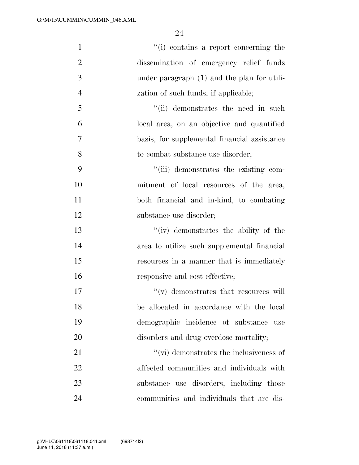| $\mathbf{1}$   | "(i) contains a report concerning the           |
|----------------|-------------------------------------------------|
| $\overline{2}$ | dissemination of emergency relief funds         |
| 3              | under paragraph (1) and the plan for utili-     |
| $\overline{4}$ | zation of such funds, if applicable;            |
| 5              | "(ii) demonstrates the need in such             |
| 6              | local area, on an objective and quantified      |
| 7              | basis, for supplemental financial assistance    |
| 8              | to combat substance use disorder;               |
| 9              | "(iii) demonstrates the existing com-           |
| 10             | mitment of local resources of the area,         |
| 11             | both financial and in-kind, to combating        |
| 12             | substance use disorder;                         |
| 13             | "(iv) demonstrates the ability of the           |
| 14             | area to utilize such supplemental financial     |
| 15             | resources in a manner that is immediately       |
| 16             | responsive and cost effective;                  |
| 17             | $\lq\lq$ demonstrates that resources will       |
| 18             | be allocated in accordance with the local       |
| 19             | demographic incidence of substance<br>use       |
| 20             | disorders and drug overdose mortality;          |
| 21             | $\lq\lq$ (vi) demonstrates the inclusiveness of |
| 22             | affected communities and individuals with       |
| 23             | substance use disorders, including those        |
| 24             | communities and individuals that are dis-       |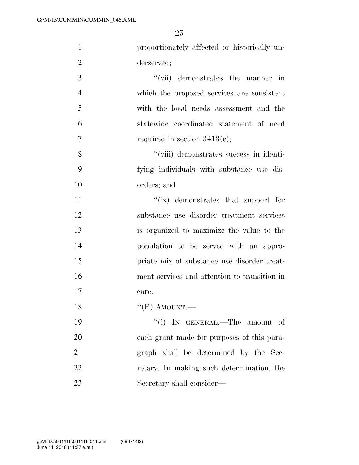| $\mathbf{1}$   | proportionately affected or historically un- |
|----------------|----------------------------------------------|
| $\overline{2}$ | derserved;                                   |
| 3              | "(vii) demonstrates the manner in            |
| $\overline{4}$ | which the proposed services are consistent   |
| 5              | with the local needs assessment and the      |
| 6              | statewide coordinated statement of need      |
| 7              | required in section $3413(e)$ ;              |
| 8              | "(viii) demonstrates success in identi-      |
| 9              | fying individuals with substance use dis-    |
| 10             | orders; and                                  |
| 11             | $\lq\lq$ (ix) demonstrates that support for  |
| 12             | substance use disorder treatment services    |
| 13             | is organized to maximize the value to the    |
| 14             | population to be served with an appro-       |
| 15             | priate mix of substance use disorder treat-  |
| 16             | ment services and attention to transition in |
| 17             | care.                                        |
| 18             | $\lq\lq(B)$ AMOUNT.                          |
| 19             | "(i) IN GENERAL.—The amount of               |
| 20             | each grant made for purposes of this para-   |
| 21             | graph shall be determined by the Sec-        |
| 22             | retary. In making such determination, the    |
| 23             | Secretary shall consider—                    |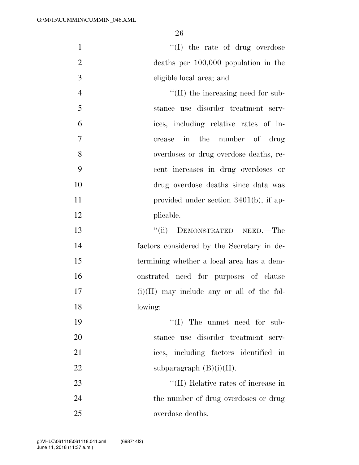$\text{``(I)}$  the rate of drug overdose deaths per 100,000 population in the eligible local area; and  $\text{``(II)}$  the increasing need for sub- stance use disorder treatment serv- ices, including relative rates of in- crease in the number of drug overdoses or drug overdose deaths, re- cent increases in drug overdoses or drug overdose deaths since data was 11 provided under section 3401(b), if ap- plicable. ''(ii) DEMONSTRATED NEED.—The

 factors considered by the Secretary in de- termining whether a local area has a dem- onstrated need for purposes of clause (i)(II) may include any or all of the fol-lowing:

 $\text{``(I)}$  The unmet need for sub- stance use disorder treatment serv- ices, including factors identified in 22 subparagraph  $(B)(i)(II)$ .

23 ''(II) Relative rates of increase in 24 the number of drug overdoses or drug overdose deaths.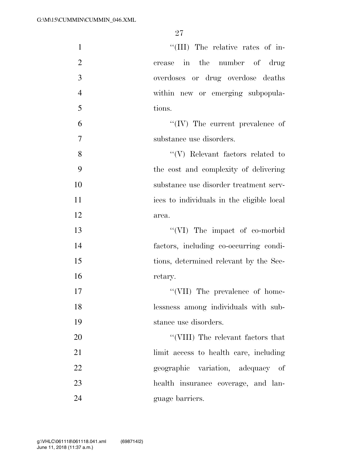| $\mathbf{1}$   | "(III) The relative rates of in-          |
|----------------|-------------------------------------------|
| $\overline{2}$ | crease in the number of drug              |
| 3              | overdoses or drug overdose deaths         |
| $\overline{4}$ | within new or emerging subpopula-         |
| 5              | tions.                                    |
| 6              | $\lq\lq$ (IV) The current prevalence of   |
| $\overline{7}$ | substance use disorders.                  |
| 8              | $\lq\lq(V)$ Relevant factors related to   |
| 9              | the cost and complexity of delivering     |
| 10             | substance use disorder treatment serv-    |
| 11             | ices to individuals in the eligible local |
| 12             | area.                                     |
| 13             | $\lq\lq$ (VI) The impact of co-morbid     |
| 14             | factors, including co-occurring condi-    |
| 15             | tions, determined relevant by the Sec-    |
| 16             | retary.                                   |
| 17             | "(VII) The prevalence of home-            |
| 18             | lessness among individuals with sub-      |
| 19             | stance use disorders.                     |
| 20             | "(VIII) The relevant factors that         |
| 21             | limit access to health care, including    |
| 22             | geographic variation, adequacy of         |
| 23             | health insurance coverage, and lan-       |
| 24             | guage barriers.                           |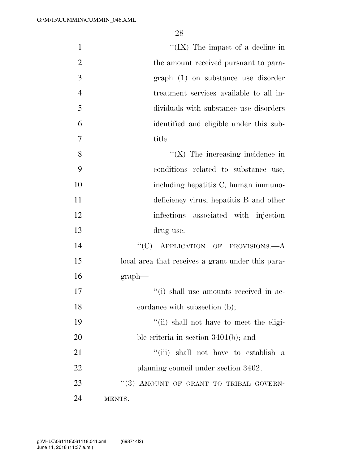| $\mathbf{1}$   | "(IX) The impact of a decline in                  |
|----------------|---------------------------------------------------|
| $\overline{2}$ | the amount received pursuant to para-             |
| 3              | graph (1) on substance use disorder               |
| $\overline{4}$ | treatment services available to all in-           |
| 5              | dividuals with substance use disorders            |
| 6              | identified and eligible under this sub-           |
| $\overline{7}$ | title.                                            |
| 8              | $\lq\lq$ (X) The increasing incidence in          |
| 9              | conditions related to substance use,              |
| 10             | including hepatitis C, human immuno-              |
| 11             | deficiency virus, hepatitis B and other           |
| 12             | infections associated with injection              |
| 13             | drug use.                                         |
| 14             | "(C) APPLICATION OF PROVISIONS.—A                 |
| 15             | local area that receives a grant under this para- |
| 16             | graph                                             |
| 17             | "(i) shall use amounts received in ac-            |
| 18             | cordance with subsection (b);                     |
| 19             | "(ii) shall not have to meet the eligi-           |
| 20             | ble criteria in section $3401(b)$ ; and           |
| 21             | "(iii) shall not have to establish a              |
| 22             | planning council under section 3402.              |
| 23             | "(3) AMOUNT OF GRANT TO TRIBAL GOVERN-            |
| 24             | MENTS.                                            |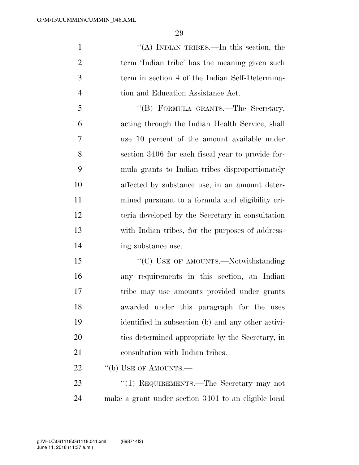''(A) INDIAN TRIBES.—In this section, the term 'Indian tribe' has the meaning given such term in section 4 of the Indian Self-Determina-4 tion and Education Assistance Act.

 ''(B) FORMULA GRANTS.—The Secretary, acting through the Indian Health Service, shall use 10 percent of the amount available under section 3406 for each fiscal year to provide for- mula grants to Indian tribes disproportionately affected by substance use, in an amount deter- mined pursuant to a formula and eligibility cri- teria developed by the Secretary in consultation with Indian tribes, for the purposes of address-14 ing substance use.

15 "'(C) USE OF AMOUNTS.—Notwithstanding any requirements in this section, an Indian tribe may use amounts provided under grants awarded under this paragraph for the uses identified in subsection (b) and any other activi- ties determined appropriate by the Secretary, in 21 consultation with Indian tribes.

22 "(b) USE OF AMOUNTS.—

23 "(1) REQUIREMENTS.—The Secretary may not make a grant under section 3401 to an eligible local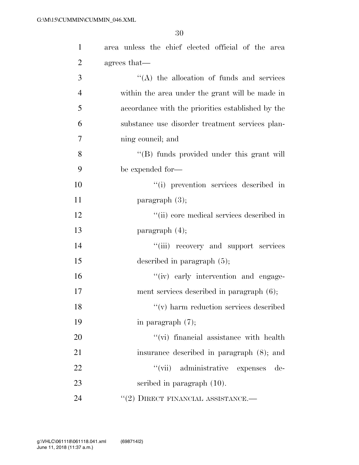| $\mathbf{1}$   | area unless the chief elected official of the area |
|----------------|----------------------------------------------------|
| $\overline{2}$ | agrees that—                                       |
| 3              | $\lq\lq$ the allocation of funds and services      |
| $\overline{4}$ | within the area under the grant will be made in    |
| 5              | accordance with the priorities established by the  |
| 6              | substance use disorder treatment services plan-    |
| 7              | ning council; and                                  |
| 8              | "(B) funds provided under this grant will          |
| 9              | be expended for-                                   |
| 10             | "(i) prevention services described in              |
| 11             | paragraph $(3)$ ;                                  |
| 12             | "(ii) core medical services described in           |
| 13             | paragraph $(4)$ ;                                  |
| 14             | "(iii) recovery and support services               |
| 15             | described in paragraph $(5)$ ;                     |
| 16             | "(iv) early intervention and engage-               |
| 17             | ment services described in paragraph $(6)$ ;       |
| 18             | $\lq\lq$ (v) harm reduction services described     |
| 19             | in paragraph $(7)$ ;                               |
| 20             | "(vi) financial assistance with health             |
| 21             | insurance described in paragraph (8); and          |
| 22             | "(vii) administrative expenses<br>de-              |
| 23             | scribed in paragraph $(10)$ .                      |
| 24             | $``(2)$ DIRECT FINANCIAL ASSISTANCE.—              |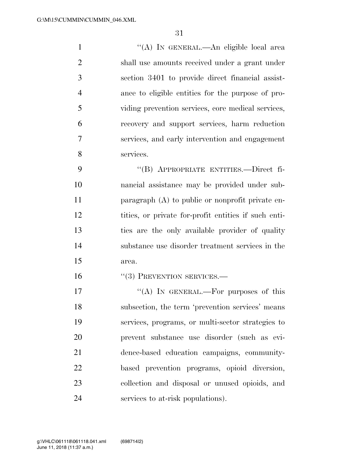''(A) IN GENERAL.—An eligible local area shall use amounts received under a grant under section 3401 to provide direct financial assist- ance to eligible entities for the purpose of pro- viding prevention services, core medical services, recovery and support services, harm reduction services, and early intervention and engagement services.

 ''(B) APPROPRIATE ENTITIES.—Direct fi- nancial assistance may be provided under sub- paragraph (A) to public or nonprofit private en- tities, or private for-profit entities if such enti- ties are the only available provider of quality substance use disorder treatment services in the area.

16 "(3) PREVENTION SERVICES.—

 $((A)$  IN GENERAL.—For purposes of this subsection, the term 'prevention services' means services, programs, or multi-sector strategies to prevent substance use disorder (such as evi- dence-based education campaigns, community- based prevention programs, opioid diversion, collection and disposal or unused opioids, and services to at-risk populations).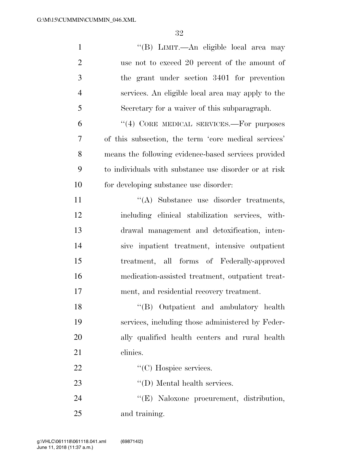| $\mathbf{1}$   | "(B) LIMIT.—An eligible local area may                |
|----------------|-------------------------------------------------------|
| $\overline{2}$ | use not to exceed 20 percent of the amount of         |
| 3              | the grant under section 3401 for prevention           |
| $\overline{4}$ | services. An eligible local area may apply to the     |
| 5              | Secretary for a waiver of this subparagraph.          |
| 6              | "(4) CORE MEDICAL SERVICES.—For purposes              |
| $\overline{7}$ | of this subsection, the term 'core medical services'  |
| 8              | means the following evidence-based services provided  |
| 9              | to individuals with substance use disorder or at risk |
| 10             | for developing substance use disorder:                |
| 11             | "(A) Substance use disorder treatments,               |
| 12             | including clinical stabilization services, with-      |
| 13             | drawal management and detoxification, inten-          |
| 14             | sive inpatient treatment, intensive outpatient        |
| 15             | treatment, all forms of Federally-approved            |
| 16             | medication-assisted treatment, outpatient treat-      |
| 17             | ment, and residential recovery treatment.             |
| 18             | "(B) Outpatient and ambulatory health                 |
| 19             | services, including those administered by Feder-      |
| 20             | ally qualified health centers and rural health        |
| 21             | clinics.                                              |
| 22             | $\lq\lq$ <sup>"</sup> (C) Hospice services.           |
| 23             | $\lq\lq$ (D) Mental health services.                  |
| 24             | "(E) Naloxone procurement, distribution,              |
| 25             | and training.                                         |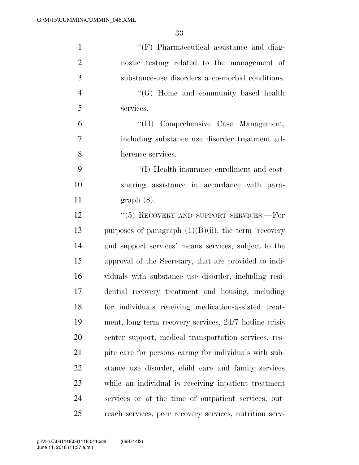| $\mathbf{1}$   | $\lq\lq(F)$ Pharmaceutical assistance and diag-         |
|----------------|---------------------------------------------------------|
| $\overline{2}$ | nostic testing related to the management of             |
| 3              | substance-use disorders a co-morbid conditions.         |
| $\overline{4}$ | $\lq\lq (G)$ Home and community based health            |
| 5              | services.                                               |
| 6              | "(H) Comprehensive Case Management,                     |
| $\overline{7}$ | including substance use disorder treatment ad-          |
| 8              | herence services.                                       |
| 9              | "(I) Health insurance enrollment and cost-              |
| 10             | sharing assistance in accordance with para-             |
| 11             | $graph(8)$ .                                            |
| 12             | " $(5)$ RECOVERY AND SUPPORT SERVICES.—For              |
| 13             | purposes of paragraph $(1)(B)(ii)$ , the term 'recovery |
| 14             | and support services' means services, subject to the    |
| 15             | approval of the Secretary, that are provided to indi-   |
| 16             | viduals with substance use disorder, including resi-    |
| 17             | dential recovery treatment and housing, including       |
| 18             | for individuals receiving medication-assisted treat-    |
| 19             | ment, long term recovery services, 24/7 hotline crisis  |
| 20             | center support, medical transportation services, res-   |
| 21             | pite care for persons caring for individuals with sub-  |
| 22             | stance use disorder, child care and family services     |
| 23             | while an individual is receiving inpatient treatment    |
| 24             | services or at the time of outpatient services, out-    |
| 25             | reach services, peer recovery services, nutrition serv- |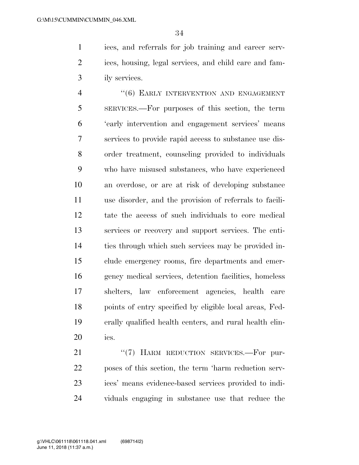ices, and referrals for job training and career serv- ices, housing, legal services, and child care and fam-ily services.

4 "(6) EARLY INTERVENTION AND ENGAGEMENT SERVICES.—For purposes of this section, the term 'early intervention and engagement services' means services to provide rapid access to substance use dis- order treatment, counseling provided to individuals who have misused substances, who have experienced an overdose, or are at risk of developing substance use disorder, and the provision of referrals to facili- tate the access of such individuals to core medical services or recovery and support services. The enti- ties through which such services may be provided in- clude emergency rooms, fire departments and emer- gency medical services, detention facilities, homeless shelters, law enforcement agencies, health care points of entry specified by eligible local areas, Fed- erally qualified health centers, and rural health clin-ics.

21 "(7) HARM REDUCTION SERVICES.—For pur- poses of this section, the term 'harm reduction serv- ices' means evidence-based services provided to indi-viduals engaging in substance use that reduce the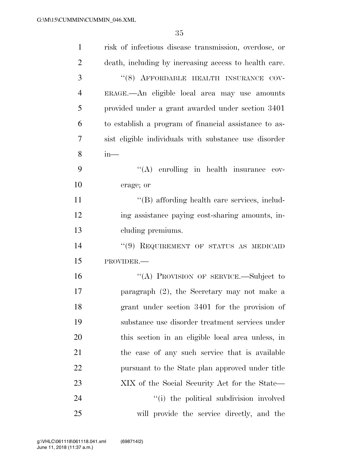| $\mathbf{1}$   | risk of infectious disease transmission, overdose, or |
|----------------|-------------------------------------------------------|
| 2              | death, including by increasing access to health care. |
| 3              | "(8) AFFORDABLE HEALTH INSURANCE COV-                 |
| $\overline{4}$ | ERAGE.- An eligible local area may use amounts        |
| 5              | provided under a grant awarded under section 3401     |
| 6              | to establish a program of financial assistance to as- |
| 7              | sist eligible individuals with substance use disorder |
| 8              | $in-$                                                 |
| 9              | $\lq\lq$ enrolling in health insurance cov-           |
| 10             | erage; or                                             |
| 11             | "(B) affording health care services, includ-          |
| 12             | ing assistance paying cost-sharing amounts, in-       |
| 13             | cluding premiums.                                     |
| 14             | "(9) REQUIREMENT OF STATUS AS MEDICAID                |
| 15             | PROVIDER.-                                            |
| 16             | "(A) PROVISION OF SERVICE.—Subject to                 |
| 17             | paragraph $(2)$ , the Secretary may not make a        |
| 18             | grant under section 3401 for the provision of         |
| 19             | substance use disorder treatment services under       |
| 20             | this section in an eligible local area unless, in     |
| 21             | the case of any such service that is available        |
| 22             | pursuant to the State plan approved under title       |
| 23             | XIX of the Social Security Act for the State—         |
| 24             | "(i) the political subdivision involved               |
| 25             | will provide the service directly, and the            |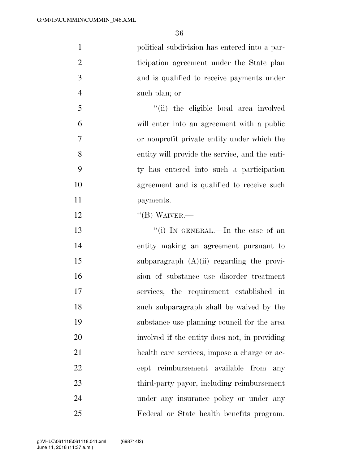| 1              | political subdivision has entered into a par-  |
|----------------|------------------------------------------------|
| 2              | ticipation agreement under the State plan      |
| 3              | and is qualified to receive payments under     |
| $\overline{4}$ | such plan; or                                  |
| 5              | "(ii) the eligible local area involved         |
| 6              | will enter into an agreement with a public     |
| $\overline{7}$ | or nonprofit private entity under which the    |
| 8              | entity will provide the service, and the enti- |
| 9              | ty has entered into such a participation       |
| 10             | agreement and is qualified to receive such     |
| 11             | payments.                                      |
| 12             | $\lq\lq (B)$ WAIVER.—                          |

13 ''(i) IN GENERAL.—In the case of an entity making an agreement pursuant to subparagraph (A)(ii) regarding the provi- sion of substance use disorder treatment services, the requirement established in such subparagraph shall be waived by the substance use planning council for the area involved if the entity does not, in providing health care services, impose a charge or ac- cept reimbursement available from any third-party payor, including reimbursement under any insurance policy or under any Federal or State health benefits program.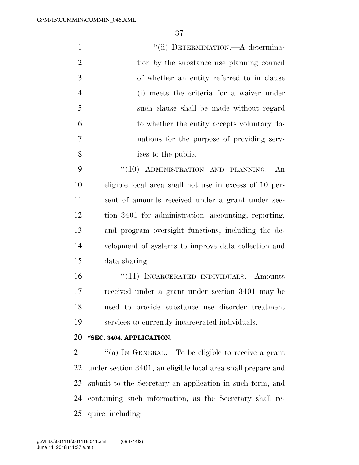| $\mathbf{1}$   | "(ii) DETERMINATION.—A determina-                            |
|----------------|--------------------------------------------------------------|
| $\overline{2}$ | tion by the substance use planning council                   |
| 3              | of whether an entity referred to in clause                   |
| $\overline{4}$ | (i) meets the criteria for a waiver under                    |
| 5              | such clause shall be made without regard                     |
| 6              | to whether the entity accepts voluntary do-                  |
| 7              | nations for the purpose of providing serv-                   |
| 8              | ices to the public.                                          |
| 9              | "(10) ADMINISTRATION AND PLANNING.—An                        |
| 10             | eligible local area shall not use in excess of 10 per-       |
| 11             | cent of amounts received under a grant under sec-            |
| 12             | tion 3401 for administration, accounting, reporting,         |
| 13             | and program oversight functions, including the de-           |
| 14             | velopment of systems to improve data collection and          |
| 15             | data sharing.                                                |
| 16             | "(11) INCARCERATED INDIVIDUALS.—Amounts                      |
| 17             | received under a grant under section 3401 may be             |
| 18             | used to provide substance use disorder treatment             |
| 19             | services to currently incarcerated individuals.              |
| 20             | "SEC. 3404. APPLICATION.                                     |
| 21             | "(a) IN GENERAL.—To be eligible to receive a grant           |
| 22             | under section 3401, an eligible local area shall prepare and |

 submit to the Secretary an application in such form, and containing such information, as the Secretary shall re-quire, including—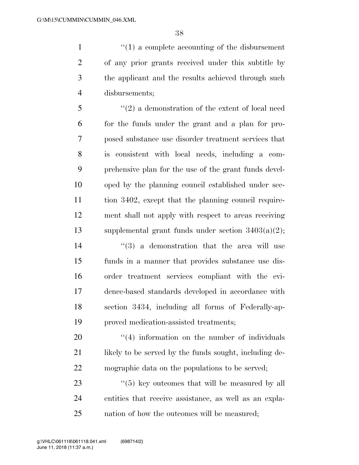$\frac{1}{1}$  <sup>(1)</sup> a complete accounting of the disbursement of any prior grants received under this subtitle by the applicant and the results achieved through such disbursements;

 ''(2) a demonstration of the extent of local need for the funds under the grant and a plan for pro- posed substance use disorder treatment services that is consistent with local needs, including a com- prehensive plan for the use of the grant funds devel- oped by the planning council established under sec- tion 3402, except that the planning council require- ment shall not apply with respect to areas receiving supplemental grant funds under section 3403(a)(2); ''(3) a demonstration that the area will use funds in a manner that provides substance use dis-

 order treatment services compliant with the evi- dence-based standards developed in accordance with section 3434, including all forms of Federally-ap-proved medication-assisted treatments;

20  $\frac{4}{4}$  information on the number of individuals 21 likely to be served by the funds sought, including de-mographic data on the populations to be served;

23 ''(5) key outcomes that will be measured by all entities that receive assistance, as well as an expla-nation of how the outcomes will be measured;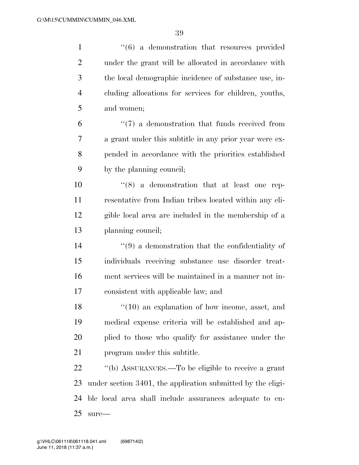| $\mathbf{1}$   | $\cdot\cdot\cdot(6)$ a demonstration that resources provided     |
|----------------|------------------------------------------------------------------|
| $\overline{2}$ | under the grant will be allocated in accordance with             |
| 3              | the local demographic incidence of substance use, in-            |
| $\overline{4}$ | cluding allocations for services for children, youths,           |
| 5              | and women;                                                       |
| 6              | $\lq(7)$ a demonstration that funds received from                |
| 7              | a grant under this subtitle in any prior year were ex-           |
| 8              | pended in accordance with the priorities established             |
| 9              | by the planning council;                                         |
| 10             | $(8)$ a demonstration that at least one rep-                     |
| 11             | resentative from Indian tribes located within any eli-           |
| 12             | gible local area are included in the membership of a             |
| 13             | planning council;                                                |
| 14             | $\cdot\cdot\cdot(9)$ a demonstration that the confidentiality of |
| 15             | individuals receiving substance use disorder treat-              |
| 16             | ment services will be maintained in a manner not in-             |
| 17             | consistent with applicable law; and                              |
| 18             | $\lq(10)$ an explanation of how income, asset, and               |
| 19             | medical expense criteria will be established and ap-             |
| 20             | plied to those who qualify for assistance under the              |
| 21             | program under this subtitle.                                     |
| 22             | "(b) ASSURANCES.—To be eligible to receive a grant               |
| 23             | under section 3401, the application submitted by the eligi-      |
| 24             | ble local area shall include assurances adequate to en-          |
| 25             | $sure-$                                                          |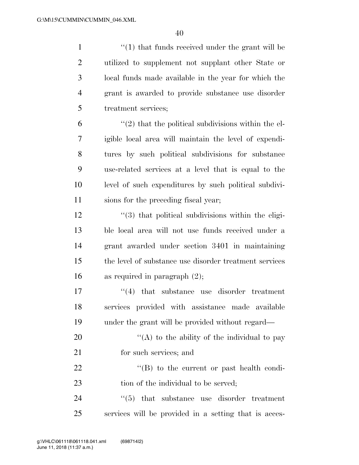1 ''(1) that funds received under the grant will be utilized to supplement not supplant other State or local funds made available in the year for which the grant is awarded to provide substance use disorder treatment services;

 $(2)$  that the political subdivisions within the el- igible local area will maintain the level of expendi- tures by such political subdivisions for substance use-related services at a level that is equal to the level of such expenditures by such political subdivi-sions for the preceding fiscal year;

12 ''(3) that political subdivisions within the eligi- ble local area will not use funds received under a grant awarded under section 3401 in maintaining the level of substance use disorder treatment services as required in paragraph (2);

17  $\frac{17}{2}$  that substance use disorder treatment 18 services provided with assistance made available 19 under the grant will be provided without regard—

20  $\langle (A)$  to the ability of the individual to pay 21 for such services; and

22 ''(B) to the current or past health condi-23 tion of the individual to be served;

24  $\frac{1}{2}$  (5) that substance use disorder treatment 25 services will be provided in a setting that is acces-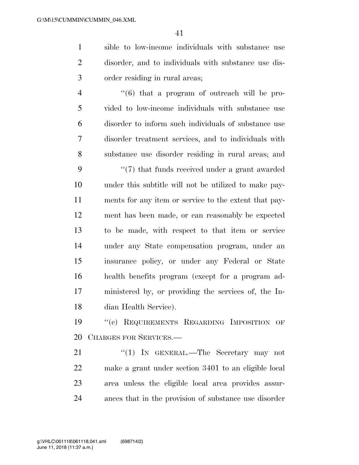sible to low-income individuals with substance use disorder, and to individuals with substance use dis-order residing in rural areas;

 $\frac{4}{6}$  ''(6) that a program of outreach will be pro- vided to low-income individuals with substance use disorder to inform such individuals of substance use disorder treatment services, and to individuals with substance use disorder residing in rural areas; and

9 ''(7) that funds received under a grant awarded under this subtitle will not be utilized to make pay- ments for any item or service to the extent that pay- ment has been made, or can reasonably be expected to be made, with respect to that item or service under any State compensation program, under an insurance policy, or under any Federal or State health benefits program (except for a program ad- ministered by, or providing the services of, the In-dian Health Service).

 ''(c) REQUIREMENTS REGARDING IMPOSITION OF CHARGES FOR SERVICES.—

21 "(1) IN GENERAL.—The Secretary may not make a grant under section 3401 to an eligible local area unless the eligible local area provides assur-ances that in the provision of substance use disorder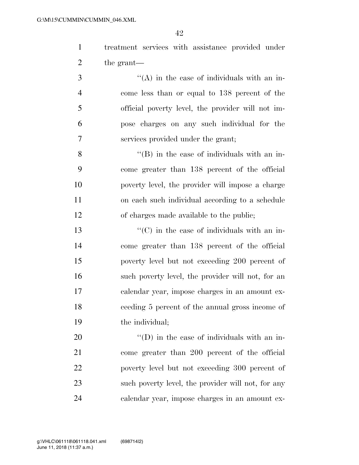treatment services with assistance provided under the grant—

 ''(A) in the case of individuals with an in- come less than or equal to 138 percent of the official poverty level, the provider will not im- pose charges on any such individual for the services provided under the grant;

 ''(B) in the case of individuals with an in- come greater than 138 percent of the official poverty level, the provider will impose a charge on each such individual according to a schedule of charges made available to the public;

 $\cdot$  (C) in the case of individuals with an in- come greater than 138 percent of the official poverty level but not exceeding 200 percent of such poverty level, the provider will not, for an calendar year, impose charges in an amount ex- ceeding 5 percent of the annual gross income of the individual;

 $\langle (D)$  in the case of individuals with an in- come greater than 200 percent of the official poverty level but not exceeding 300 percent of such poverty level, the provider will not, for any calendar year, impose charges in an amount ex-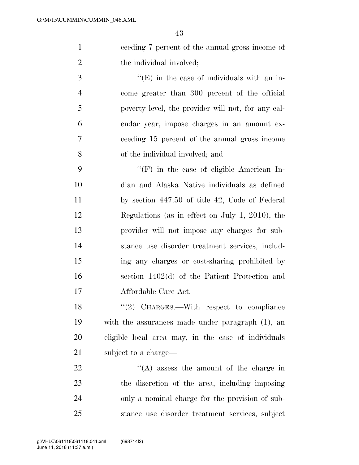ceeding 7 percent of the annual gross income of 2 the individual involved;

 $\cdot$  (E) in the case of individuals with an in- come greater than 300 percent of the official poverty level, the provider will not, for any cal- endar year, impose charges in an amount ex- ceeding 15 percent of the annual gross income of the individual involved; and

 ''(F) in the case of eligible American In- dian and Alaska Native individuals as defined by section 447.50 of title 42, Code of Federal Regulations (as in effect on July 1, 2010), the provider will not impose any charges for sub- stance use disorder treatment services, includ- ing any charges or cost-sharing prohibited by section 1402(d) of the Patient Protection and Affordable Care Act.

18 "(2) CHARGES.—With respect to compliance with the assurances made under paragraph (1), an eligible local area may, in the case of individuals 21 subject to a charge—

 $\langle (A)$  assess the amount of the charge in the discretion of the area, including imposing only a nominal charge for the provision of sub-stance use disorder treatment services, subject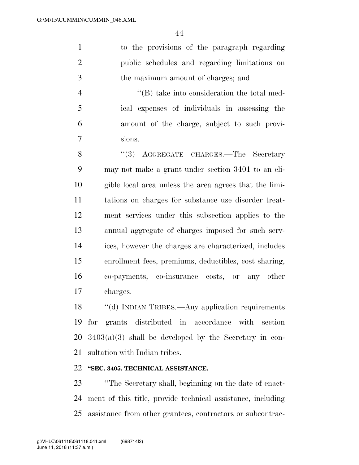to the provisions of the paragraph regarding public schedules and regarding limitations on the maximum amount of charges; and

 ''(B) take into consideration the total med- ical expenses of individuals in assessing the amount of the charge, subject to such provi-sions.

8 "(3) AGGREGATE CHARGES.—The Secretary may not make a grant under section 3401 to an eli- gible local area unless the area agrees that the limi- tations on charges for substance use disorder treat- ment services under this subsection applies to the annual aggregate of charges imposed for such serv- ices, however the charges are characterized, includes enrollment fees, premiums, deductibles, cost sharing, co-payments, co-insurance costs, or any other charges.

18 "(d) INDIAN TRIBES.—Any application requirements for grants distributed in accordance with section  $20\quad 3403(a)(3)$  shall be developed by the Secretary in con-sultation with Indian tribes.

### **''SEC. 3405. TECHNICAL ASSISTANCE.**

 ''The Secretary shall, beginning on the date of enact- ment of this title, provide technical assistance, including assistance from other grantees, contractors or subcontrac-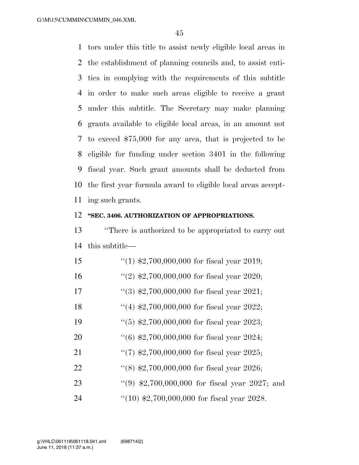tors under this title to assist newly eligible local areas in the establishment of planning councils and, to assist enti- ties in complying with the requirements of this subtitle in order to make such areas eligible to receive a grant under this subtitle. The Secretary may make planning grants available to eligible local areas, in an amount not to exceed \$75,000 for any area, that is projected to be eligible for funding under section 3401 in the following fiscal year. Such grant amounts shall be deducted from the first year formula award to eligible local areas accept-ing such grants.

#### **''SEC. 3406. AUTHORIZATION OF APPROPRIATIONS.**

 ''There is authorized to be appropriated to carry out this subtitle—

| 15 | $(1)$ \$2,700,000,000 for fiscal year 2019;            |
|----|--------------------------------------------------------|
| 16 | "(2) $\text{$}2,700,000,000$ for fiscal year 2020;     |
| 17 | $(3)$ \$2,700,000,000 for fiscal year 2021;            |
| 18 | "(4) $\text{$}2,700,000,000$ for fiscal year 2022;     |
| 19 | $(5)$ \$2,700,000,000 for fiscal year 2023;            |
| 20 | $(6)$ \$2,700,000,000 for fiscal year 2024;            |
| 21 | $\lq(7)$ \$2,700,000,000 for fiscal year 2025;         |
| 22 | "(8) $$2,700,000,000$ for fiscal year 2026;            |
| 23 | "(9) $\text{$}2,700,000,000$ for fiscal year 2027; and |
| 24 | " $(10)$ \$2,700,000,000 for fiscal year 2028.         |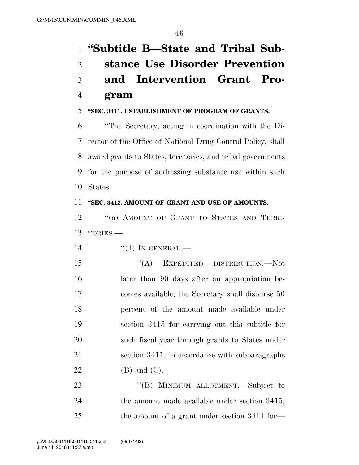# **''Subtitle B—State and Tribal Sub- stance Use Disorder Prevention and Intervention Grant Pro-gram**

### **''SEC. 3411. ESTABLISHMENT OF PROGRAM OF GRANTS.**

 ''The Secretary, acting in coordination with the Di- rector of the Office of National Drug Control Policy, shall award grants to States, territories, and tribal governments for the purpose of addressing substance use within such States.

#### **''SEC. 3412. AMOUNT OF GRANT AND USE OF AMOUNTS.**

12 "(a) AMOUNT OF GRANT TO STATES AND TERRI-TORIES.—

14 "(1) IN GENERAL.—

15 "(A) EXPEDITED DISTRIBUTION.—Not later than 90 days after an appropriation be- comes available, the Secretary shall disburse 50 percent of the amount made available under section 3415 for carrying out this subtitle for such fiscal year through grants to States under section 3411, in accordance with subparagraphs (B) and (C).

23 "'(B) MINIMUM ALLOTMENT.—Subject to the amount made available under section 3415, 25 the amount of a grant under section 3411 for—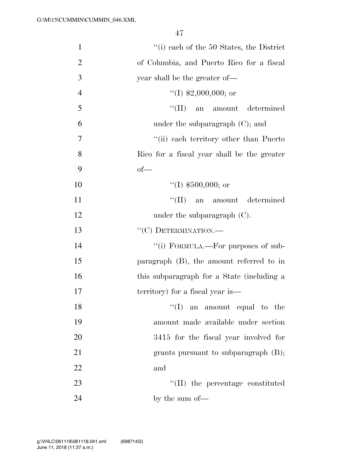| $\mathbf{1}$   | "(i) each of the 50 States, the District    |
|----------------|---------------------------------------------|
| $\overline{2}$ | of Columbia, and Puerto Rico for a fiscal   |
| 3              | year shall be the greater of—               |
| $\overline{4}$ | "(I) $$2,000,000$ ; or                      |
| 5              | "(II) an amount determined                  |
| 6              | under the subparagraph $(C)$ ; and          |
| $\overline{7}$ | "(ii) each territory other than Puerto"     |
| 8              | Rico for a fiscal year shall be the greater |
| 9              | $of$ —                                      |
| 10             | "(I) $$500,000$ ; or                        |
| 11             | $\lq\lq$ (II) an amount determined          |
| 12             | under the subparagraph (C).                 |
| 13             | "(C) DETERMINATION.-                        |
| 14             | "(i) FORMULA.—For purposes of sub-          |
| 15             | paragraph $(B)$ , the amount referred to in |
| 16             | this subparagraph for a State (including a  |
| 17             | territory) for a fiscal year is—            |
| 18             | $\lq\lq$ (I) an amount equal to the         |
| 19             | amount made available under section         |
| 20             | 3415 for the fiscal year involved for       |
| 21             | grants pursuant to subparagraph $(B)$ ;     |
| 22             | and                                         |
| 23             | "(II) the percentage constituted            |
| 24             | by the sum of—                              |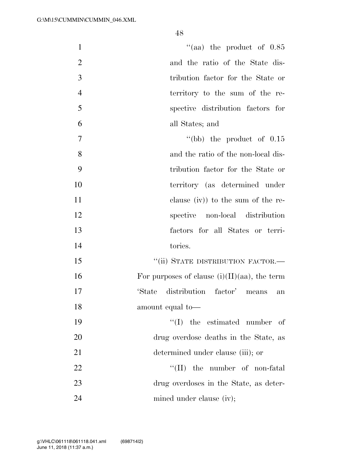| $\mathbf{1}$   | "(aa) the product of $0.85$                     |
|----------------|-------------------------------------------------|
| $\overline{2}$ | and the ratio of the State dis-                 |
| 3              | tribution factor for the State or               |
| $\overline{4}$ | territory to the sum of the re-                 |
| 5              | spective distribution factors for               |
| 6              | all States; and                                 |
| $\overline{7}$ | "(bb) the product of $0.15$                     |
| 8              | and the ratio of the non-local dis-             |
| 9              | tribution factor for the State or               |
| 10             | territory (as determined under                  |
| 11             | clause (iv)) to the sum of the re-              |
| 12             | spective non-local distribution                 |
| 13             | factors for all States or terri-                |
| 14             | tories.                                         |
| 15             | "(ii) STATE DISTRIBUTION FACTOR.-               |
| 16             | For purposes of clause $(i)(II)(aa)$ , the term |
| 17             | 'State distribution factor' means<br>an         |
| 18             | amount equal to-                                |
| 19             | $\lq\lq$ (I) the estimated number<br>- of       |
| 20             | drug overdose deaths in the State, as           |
| 21             | determined under clause (iii); or               |
| 22             | $\lq\lq$ (II) the number of non-fatal           |
| 23             | drug overdoses in the State, as deter-          |
| 24             | mined under clause (iv);                        |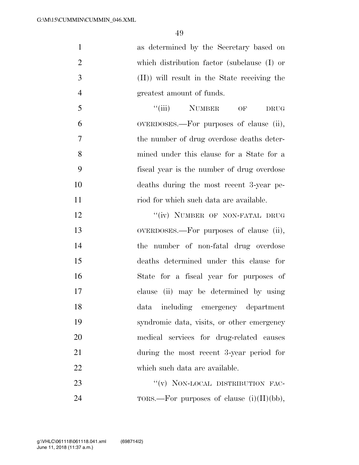| 1              | as determined by the Secretary based on      |
|----------------|----------------------------------------------|
| 2              | which distribution factor (subclause (I) or  |
| 3              | (II)) will result in the State receiving the |
| $\overline{4}$ | greatest amount of funds.                    |
| 5              | "(iii) NUMBER OF<br><b>DRUG</b>              |
| 6              | OVERDOSES.—For purposes of clause (ii),      |
| 7              | the number of drug overdose deaths deter-    |
| 8              | mined under this clause for a State for a    |
| 9              | fiscal year is the number of drug overdose   |
| 10             | deaths during the most recent 3-year pe-     |
| 11             | riod for which such data are available.      |
| 12             | "(iv) NUMBER OF NON-FATAL DRUG               |

 OVERDOSES.—For purposes of clause (ii), the number of non-fatal drug overdose deaths determined under this clause for State for a fiscal year for purposes of clause (ii) may be determined by using data including emergency department syndromic data, visits, or other emergency medical services for drug-related causes during the most recent 3-year period for which such data are available.

23 "(v) NON-LOCAL DISTRIBUTION FAC-24 TORS.—For purposes of clause  $(i)(II)(bb)$ ,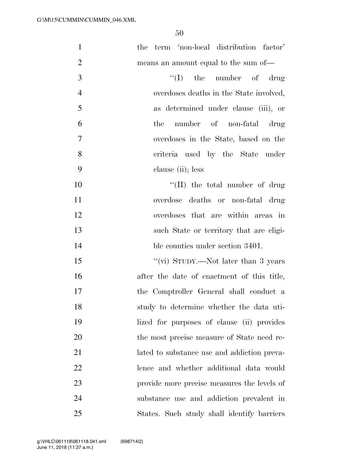| $\mathbf{1}$   | the term 'non-local distribution factor'    |
|----------------|---------------------------------------------|
| $\overline{2}$ | means an amount equal to the sum of—        |
| 3              | $\lq\lq$ (I) the number of drug             |
| $\overline{4}$ | overdoses deaths in the State involved,     |
| 5              | as determined under clause (iii), or        |
| 6              | number of non-fatal drug<br>the             |
| $\overline{7}$ | overdoses in the State, based on the        |
| 8              | criteria used by the State under            |
| 9              | clause (ii); less                           |
| 10             | $\lq\lq$ (II) the total number of drug      |
| 11             | overdose deaths or non-fatal drug           |
| 12             | overdoses that are within areas in          |
| 13             | such State or territory that are eligi-     |
| 14             | ble counties under section 3401.            |
| 15             | "(vi) STUDY.—Not later than 3 years         |
| 16             | after the date of enactment of this title,  |
| 17             | the Comptroller General shall conduct a     |
| 18             | study to determine whether the data uti-    |
| 19             | lized for purposes of clause (ii) provides  |
| 20             | the most precise measure of State need re-  |
| 21             | lated to substance use and addiction preva- |
| 22             | lence and whether additional data would     |
| 23             | provide more precise measures the levels of |
| 24             | substance use and addiction prevalent in    |
| 25             | States. Such study shall identify barriers  |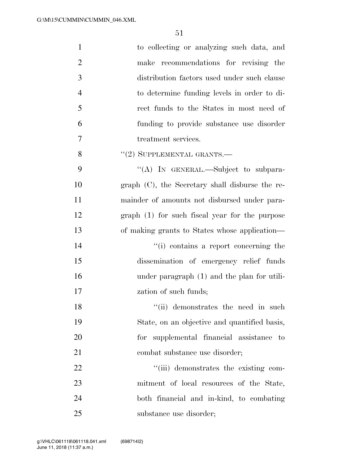| $\mathbf{1}$   | to collecting or analyzing such data, and          |
|----------------|----------------------------------------------------|
| $\overline{2}$ | make recommendations for revising the              |
| 3              | distribution factors used under such clause        |
| $\overline{4}$ | to determine funding levels in order to di-        |
| 5              | rect funds to the States in most need of           |
| 6              | funding to provide substance use disorder          |
| 7              | treatment services.                                |
| 8              | $``(2)$ SUPPLEMENTAL GRANTS.—                      |
| 9              | "(A) IN GENERAL.—Subject to subpara-               |
| 10             | graph $(C)$ , the Secretary shall disburse the re- |
| 11             | mainder of amounts not disbursed under para-       |
| 12             | $graph(1)$ for such fiscal year for the purpose    |
| 13             | of making grants to States whose application—      |
| 14             | "(i) contains a report concerning the              |
| 15             | dissemination of emergency relief funds            |
| 16             | under paragraph (1) and the plan for utili-        |
| 17             | zation of such funds;                              |
| 18             | "(ii) demonstrates the need in such                |
| 19             | State, on an objective and quantified basis,       |
| 20             | for supplemental financial assistance to           |
| 21             | combat substance use disorder;                     |
| 22             | "(iii) demonstrates the existing com-              |
| 23             | mitment of local resources of the State,           |
| 24             | both financial and in-kind, to combating           |
| 25             | substance use disorder;                            |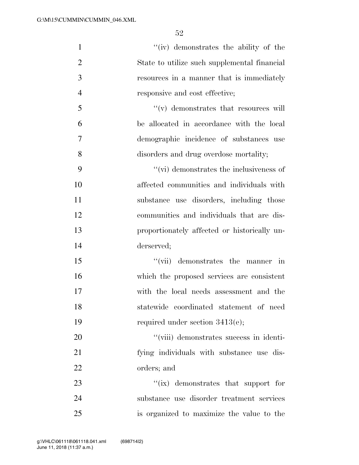| $\mathbf{1}$   | "(iv) demonstrates the ability of the           |
|----------------|-------------------------------------------------|
| $\overline{2}$ | State to utilize such supplemental financial    |
| 3              | resources in a manner that is immediately       |
| $\overline{4}$ | responsive and cost effective;                  |
| 5              | $\lq\lq$ demonstrates that resources will       |
| 6              | be allocated in accordance with the local       |
| 7              | demographic incidence of substances use         |
| 8              | disorders and drug overdose mortality;          |
| 9              | $\lq\lq$ (vi) demonstrates the inclusiveness of |
| 10             | affected communities and individuals with       |
| 11             | substance use disorders, including those        |
| 12             | communities and individuals that are dis-       |
| 13             | proportionately affected or historically un-    |
| 14             | derserved;                                      |
| 15             | "(vii) demonstrates the manner in               |
| 16             | which the proposed services are consistent      |
| 17             | with the local needs assessment and the         |
| 18             | statewide coordinated statement of need         |
| 19             | required under section $3413(e)$ ;              |
| 20             | "(viii) demonstrates success in identi-         |
| 21             | fying individuals with substance use dis-       |
| 22             | orders; and                                     |
| 23             | $\lq\lq$ (ix) demonstrates that support for     |
| 24             | substance use disorder treatment services       |
| 25             | is organized to maximize the value to the       |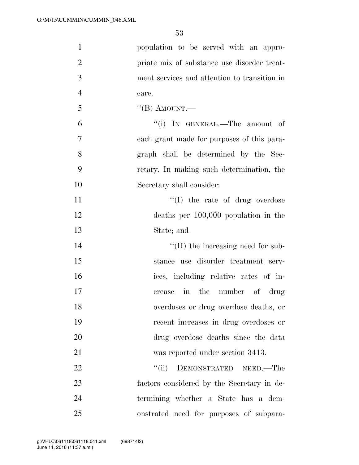| $\mathbf{1}$   | population to be served with an appro-       |
|----------------|----------------------------------------------|
| $\overline{2}$ | priate mix of substance use disorder treat-  |
| 3              | ment services and attention to transition in |
| $\overline{4}$ | care.                                        |
| 5              | "(B) AMOUNT.—                                |
| 6              | "(i) IN GENERAL.—The amount of               |
| $\overline{7}$ | each grant made for purposes of this para-   |
| 8              | graph shall be determined by the Sec-        |
| 9              | retary. In making such determination, the    |
| 10             | Secretary shall consider:                    |
| 11             | $\lq\lq$ (I) the rate of drug overdose       |
| 12             | deaths per $100,000$ population in the       |
| 13             | State; and                                   |
| 14             | $\lq\lq$ (II) the increasing need for sub-   |
| 15             | stance use disorder treatment serv-          |
| 16             | ices, including relative rates of in-        |
| 17             | in the number of drug<br>crease              |
| 18             | overdoses or drug overdose deaths, or        |
| 19             | recent increases in drug overdoses or        |
| 20             | drug overdose deaths since the data          |
| 21             | was reported under section 3413.             |
| 22             | DEMONSTRATED NEED.-The<br>``(ii)             |
| 23             | factors considered by the Secretary in de-   |
| 24             | termining whether a State has a dem-         |
| 25             | onstrated need for purposes of subpara-      |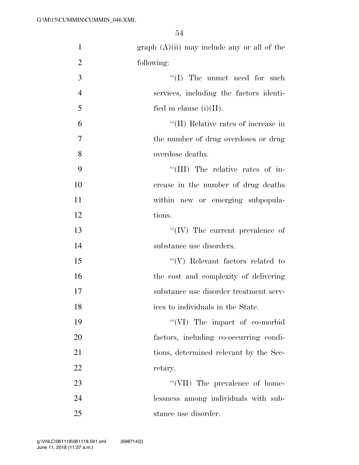| $\mathbf{1}$   | $graph (A)(ii)$ may include any or all of the |
|----------------|-----------------------------------------------|
| $\overline{2}$ | following:                                    |
| 3              | $\lq\lq$ (I) The unmet need for such          |
| $\overline{4}$ | services, including the factors identi-       |
| 5              | fied in clause $(i)(II)$ .                    |
| 6              | "(II) Relative rates of increase in           |
| $\overline{7}$ | the number of drug overdoses or drug          |
| 8              | overdose deaths.                              |
| 9              | "(III) The relative rates of in-              |
| 10             | crease in the number of drug deaths           |
| 11             | within new or emerging subpopula-             |
| 12             | tions.                                        |
| 13             | $``(IV)$ The current prevalence of            |
| 14             | substance use disorders.                      |
| 15             | $\lq\lq(V)$ Relevant factors related to       |
| 16             | the cost and complexity of delivering         |
| 17             | substance use disorder treatment serv-        |
| 18             | ices to individuals in the State.             |
| 19             | "(VI) The impact of co-morbid                 |
| 20             | factors, including co-occurring condi-        |
| 21             | tions, determined relevant by the Sec-        |
| 22             | retary.                                       |
| 23             | "(VII) The prevalence of home-                |
| 24             | lessness among individuals with sub-          |
| 25             | stance use disorder.                          |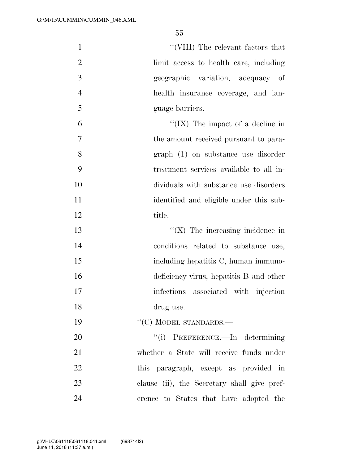1 ''(VIII) The relevant factors that limit access to health care, including geographic variation, adequacy of health insurance coverage, and lan- guage barriers. ''(IX) The impact of a decline in the amount received pursuant to para- graph (1) on substance use disorder treatment services available to all in-dividuals with substance use disorders

 identified and eligible under this sub-12 title.

 $\frac{1}{2}$  The increasing incidence in conditions related to substance use, 15 including hepatitis C, human immuno- deficiency virus, hepatitis B and other 17 infections associated with injection drug use.

19 "'(C) MODEL STANDARDS.—

 $\frac{1}{1}$  PREFERENCE.—In determining whether a State will receive funds under this paragraph, except as provided in clause (ii), the Secretary shall give pref-erence to States that have adopted the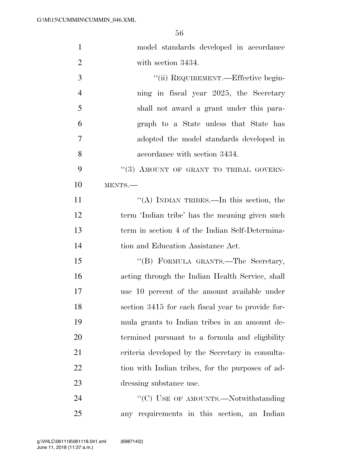| $\mathbf{1}$   | model standards developed in accordance           |
|----------------|---------------------------------------------------|
| $\overline{2}$ | with section 3434.                                |
| 3              | "(ii) REQUIREMENT.—Effective begin-               |
| $\overline{4}$ | ning in fiscal year 2025, the Secretary           |
| 5              | shall not award a grant under this para-          |
| 6              | graph to a State unless that State has            |
| 7              | adopted the model standards developed in          |
| 8              | accordance with section 3434.                     |
| 9              | "(3) AMOUNT OF GRANT TO TRIBAL GOVERN-            |
| 10             | MENTS.                                            |
| 11             | "(A) INDIAN TRIBES.—In this section, the          |
| 12             | term 'Indian tribe' has the meaning given such    |
| 13             | term in section 4 of the Indian Self-Determina-   |
| 14             | tion and Education Assistance Act.                |
| 15             | "(B) FORMULA GRANTS.-The Secretary,               |
| 16             | acting through the Indian Health Service, shall   |
| 17             | use 10 percent of the amount available under      |
| 18             | section 3415 for each fiscal year to provide for- |
| 19             | mula grants to Indian tribes in an amount de-     |
| 20             | termined pursuant to a formula and eligibility    |
| 21             | criteria developed by the Secretary in consulta-  |
| 22             | tion with Indian tribes, for the purposes of ad-  |
| 23             | dressing substance use.                           |
| 24             | "(C) USE OF AMOUNTS.—Notwithstanding              |
| 25             | any requirements in this section, an Indian       |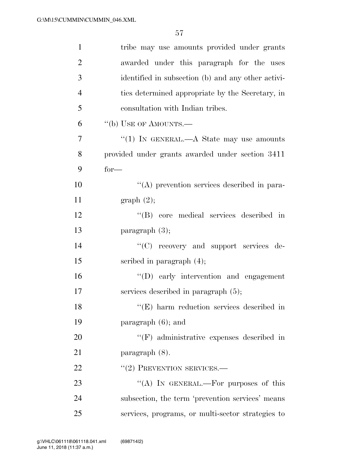| $\mathbf{1}$   | tribe may use amounts provided under grants                 |
|----------------|-------------------------------------------------------------|
| $\overline{c}$ | awarded under this paragraph for the uses                   |
| 3              | identified in subsection (b) and any other activi-          |
| $\overline{4}$ | ties determined appropriate by the Secretary, in            |
| 5              | consultation with Indian tribes.                            |
| 6              | "(b) USE OF AMOUNTS.—                                       |
| 7              | "(1) IN GENERAL.— $A$ State may use amounts                 |
| 8              | provided under grants awarded under section 3411            |
| 9              | $for-$                                                      |
| 10             | "(A) prevention services described in para-                 |
| 11             | graph(2);                                                   |
| 12             | "(B) core medical services described in                     |
| 13             | paragraph $(3)$ ;                                           |
| 14             | "(C) recovery and support services de-                      |
| 15             | scribed in paragraph $(4)$ ;                                |
| 16             | $\lq\lq$ (D) early intervention and engagement              |
| 17             | services described in paragraph $(5)$ ;                     |
| 18             | $\lq$ <sup>"</sup> (E) harm reduction services described in |
| 19             | paragraph $(6)$ ; and                                       |
| 20             | "(F) administrative expenses described in                   |
| 21             | paragraph $(8)$ .                                           |
| 22             | $"(2)$ PREVENTION SERVICES.—                                |
| 23             | "(A) IN GENERAL.—For purposes of this                       |
| 24             | subsection, the term 'prevention services' means            |
| 25             | services, programs, or multi-sector strategies to           |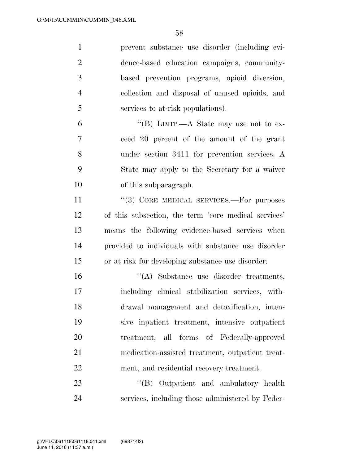| $\mathbf{1}$   | prevent substance use disorder (including evi-       |
|----------------|------------------------------------------------------|
| $\overline{2}$ | dence-based education campaigns, community-          |
| 3              | based prevention programs, opioid diversion,         |
| $\overline{4}$ | collection and disposal of unused opioids, and       |
| 5              | services to at-risk populations).                    |
| 6              | "(B) LIMIT.—A State may use not to ex-               |
| 7              | ceed 20 percent of the amount of the grant           |
| 8              | under section 3411 for prevention services. A        |
| 9              | State may apply to the Secretary for a waiver        |
| 10             | of this subparagraph.                                |
| 11             | "(3) CORE MEDICAL SERVICES.—For purposes             |
| 12             | of this subsection, the term 'core medical services' |
| 13             | means the following evidence-based services when     |
| 14             | provided to individuals with substance use disorder  |
| 15             | or at risk for developing substance use disorder:    |
| 16             | "(A) Substance use disorder treatments,              |
| 17             | including clinical stabilization services, with-     |
| 18             | drawal management and detoxification, inten-         |
| 19             | sive inpatient treatment, intensive outpatient       |
| 20             | treatment, all forms of Federally-approved           |
| 21             | medication-assisted treatment, outpatient treat-     |
| 22             | ment, and residential recovery treatment.            |
| 23             | "(B) Outpatient and ambulatory health                |
| 24             | services, including those administered by Feder-     |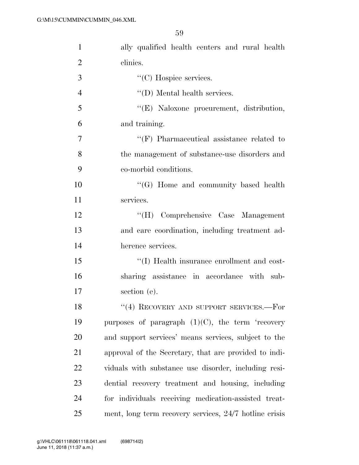| $\mathbf{1}$   | ally qualified health centers and rural health         |
|----------------|--------------------------------------------------------|
| $\overline{2}$ | clinics.                                               |
| 3              | $\lq\lq$ <sup>c</sup> (C) Hospice services.            |
| $\overline{4}$ | $\lq\lq$ (D) Mental health services.                   |
| 5              | "(E) Naloxone procurement, distribution,               |
| 6              | and training.                                          |
| $\overline{7}$ | $\lq\lq(F)$ Pharmaceutical assistance related to       |
| 8              | the management of substance-use disorders and          |
| 9              | co-morbid conditions.                                  |
| 10             | $\lq\lq (G)$ Home and community based health           |
| 11             | services.                                              |
| 12             | "(H) Comprehensive Case Management                     |
| 13             | and care coordination, including treatment ad-         |
| 14             | herence services.                                      |
| 15             | "(I) Health insurance enrollment and cost-             |
| 16             | sharing assistance in accordance with sub-             |
| 17             | section (e).                                           |
| 18             | "(4) RECOVERY AND SUPPORT SERVICES.—For                |
| 19             | purposes of paragraph $(1)(C)$ , the term 'recovery    |
| 20             | and support services' means services, subject to the   |
| 21             | approval of the Secretary, that are provided to indi-  |
| 22             | viduals with substance use disorder, including resi-   |
| 23             | dential recovery treatment and housing, including      |
| 24             | for individuals receiving medication-assisted treat-   |
| 25             | ment, long term recovery services, 24/7 hotline crisis |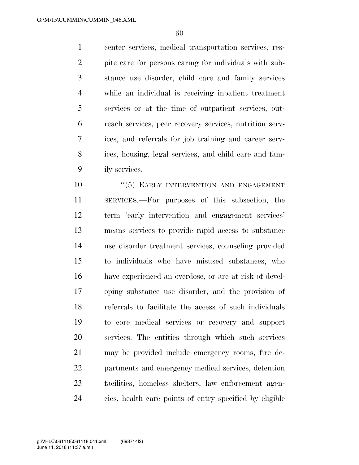center services, medical transportation services, res- pite care for persons caring for individuals with sub- stance use disorder, child care and family services while an individual is receiving inpatient treatment services or at the time of outpatient services, out- reach services, peer recovery services, nutrition serv- ices, and referrals for job training and career serv- ices, housing, legal services, and child care and fam-ily services.

 $(5)$  EARLY INTERVENTION AND ENGAGEMENT SERVICES.—For purposes of this subsection, the term 'early intervention and engagement services' means services to provide rapid access to substance use disorder treatment services, counseling provided to individuals who have misused substances, who have experienced an overdose, or are at risk of devel- oping substance use disorder, and the provision of referrals to facilitate the access of such individuals to core medical services or recovery and support services. The entities through which such services may be provided include emergency rooms, fire de- partments and emergency medical services, detention facilities, homeless shelters, law enforcement agen-cies, health care points of entry specified by eligible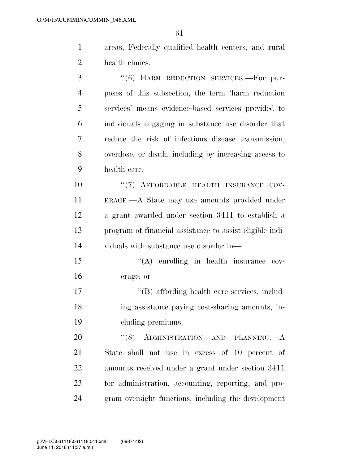- areas, Federally qualified health centers, and rural health clinics.
- ''(6) HARM REDUCTION SERVICES.—For pur- poses of this subsection, the term 'harm reduction services' means evidence-based services provided to individuals engaging in substance use disorder that reduce the risk of infectious disease transmission, overdose, or death, including by increasing access to health care. 10  $(7)$  AFFORDABLE HEALTH INSURANCE COV- ERAGE.—A State may use amounts provided under a grant awarded under section 3411 to establish a program of financial assistance to assist eligible indi-viduals with substance use disorder in—
- 15 "(A) enrolling in health insurance cov-erage; or
- 17  $\langle G \rangle$  affording health care services, includ- ing assistance paying cost-sharing amounts, in-cluding premiums.

20 "(8) ADMINISTRATION AND PLANNING.—A State shall not use in excess of 10 percent of amounts received under a grant under section 3411 for administration, accounting, reporting, and pro-gram oversight functions, including the development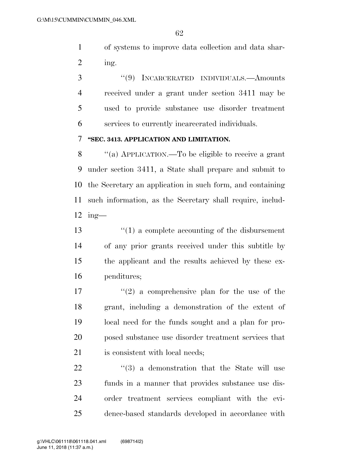of systems to improve data collection and data shar-ing.

 ''(9) INCARCERATED INDIVIDUALS.—Amounts received under a grant under section 3411 may be used to provide substance use disorder treatment services to currently incarcerated individuals.

#### **''SEC. 3413. APPLICATION AND LIMITATION.**

 ''(a) APPLICATION.—To be eligible to receive a grant under section 3411, a State shall prepare and submit to the Secretary an application in such form, and containing such information, as the Secretary shall require, includ-ing—

 ''(1) a complete accounting of the disbursement of any prior grants received under this subtitle by the applicant and the results achieved by these ex-penditures;

 $\frac{17}{2}$  a comprehensive plan for the use of the grant, including a demonstration of the extent of local need for the funds sought and a plan for pro- posed substance use disorder treatment services that is consistent with local needs;

  $(3)$  a demonstration that the State will use funds in a manner that provides substance use dis- order treatment services compliant with the evi-dence-based standards developed in accordance with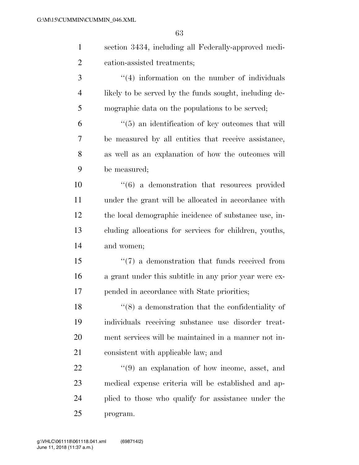| $\mathbf{1}$   | section 3434, including all Federally-approved medi-          |
|----------------|---------------------------------------------------------------|
| $\overline{2}$ | cation-assisted treatments;                                   |
| 3              | $\lq(4)$ information on the number of individuals             |
| $\overline{4}$ | likely to be served by the funds sought, including de-        |
| 5              | mographic data on the populations to be served;               |
| 6              | $\lq(5)$ an identification of key outcomes that will          |
| 7              | be measured by all entities that receive assistance,          |
| 8              | as well as an explanation of how the outcomes will            |
| 9              | be measured;                                                  |
| 10             | $\cdot\cdot\cdot(6)$ a demonstration that resources provided  |
| 11             | under the grant will be allocated in accordance with          |
| 12             | the local demographic incidence of substance use, in-         |
| 13             | cluding allocations for services for children, youths,        |
| 14             | and women;                                                    |
| 15             | $\cdot\cdot\cdot(7)$ a demonstration that funds received from |
| 16             | a grant under this subtitle in any prior year were ex-        |
| 17             | pended in accordance with State priorities;                   |
| 18             | $``(8)$ a demonstration that the confidentiality of           |
| 19             | individuals receiving substance use disorder treat-           |
| 20             | ment services will be maintained in a manner not in-          |
| 21             | consistent with applicable law; and                           |
| 22             | $\cdot\cdot\cdot(9)$ an explanation of how income, asset, and |
| 23             | medical expense criteria will be established and ap-          |
| 24             | plied to those who qualify for assistance under the           |

program.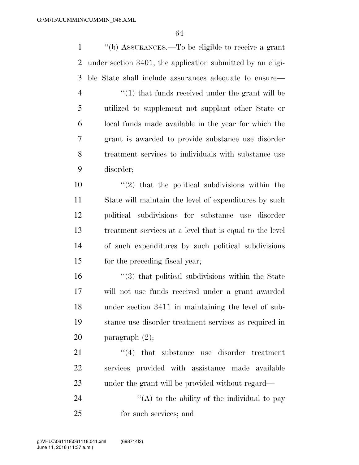''(b) ASSURANCES.—To be eligible to receive a grant under section 3401, the application submitted by an eligi- ble State shall include assurances adequate to ensure— 4 ''(1) that funds received under the grant will be utilized to supplement not supplant other State or local funds made available in the year for which the grant is awarded to provide substance use disorder treatment services to individuals with substance use disorder;  $\frac{10}{2}$  that the political subdivisions within the State will maintain the level of expenditures by such political subdivisions for substance use disorder treatment services at a level that is equal to the level of such expenditures by such political subdivisions for the preceding fiscal year; ''(3) that political subdivisions within the State will not use funds received under a grant awarded under section 3411 in maintaining the level of sub- stance use disorder treatment services as required in paragraph (2); 21 ''(4) that substance use disorder treatment services provided with assistance made available under the grant will be provided without regard—  $\langle (A)$  to the ability of the individual to pay for such services; and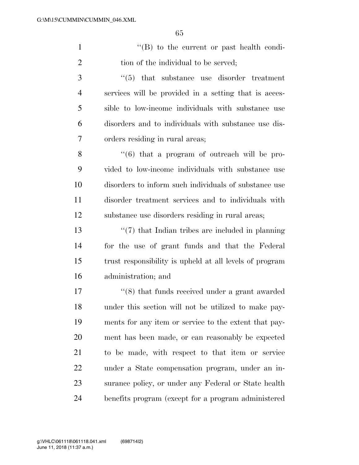1 ''(B) to the current or past health condi-2 tion of the individual to be served;

3 ''(5) that substance use disorder treatment services will be provided in a setting that is acces- sible to low-income individuals with substance use disorders and to individuals with substance use dis-orders residing in rural areas;

 ''(6) that a program of outreach will be pro- vided to low-income individuals with substance use disorders to inform such individuals of substance use disorder treatment services and to individuals with substance use disorders residing in rural areas;

 ''(7) that Indian tribes are included in planning for the use of grant funds and that the Federal trust responsibility is upheld at all levels of program administration; and

 ''(8) that funds received under a grant awarded under this section will not be utilized to make pay- ments for any item or service to the extent that pay- ment has been made, or can reasonably be expected to be made, with respect to that item or service under a State compensation program, under an in- surance policy, or under any Federal or State health benefits program (except for a program administered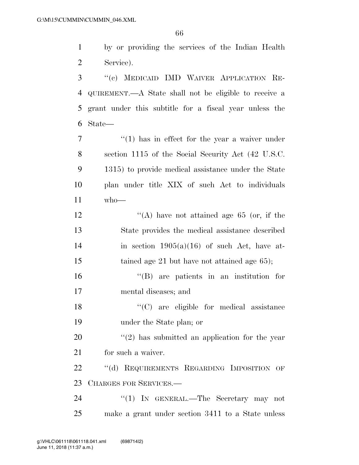by or providing the services of the Indian Health Service).

 ''(c) MEDICAID IMD WAIVER APPLICATION RE- QUIREMENT.—A State shall not be eligible to receive a grant under this subtitle for a fiscal year unless the State—

 $\frac{1}{1}$  has in effect for the year a waiver under section 1115 of the Social Security Act (42 U.S.C. 1315) to provide medical assistance under the State plan under title XIX of such Act to individuals who—

12  $\langle (A) \rangle$  have not attained age 65 (or, if the State provides the medical assistance described 14 in section  $1905(a)(16)$  of such Act, have at-15 tained age 21 but have not attained age 65);

 ''(B) are patients in an institution for mental diseases; and

18 "'(C) are eligible for medical assistance under the State plan; or

 ''(2) has submitted an application for the year for such a waiver.

22 "(d) REQUIREMENTS REGARDING IMPOSITION OF CHARGES FOR SERVICES.—

24 "(1) IN GENERAL.—The Secretary may not make a grant under section 3411 to a State unless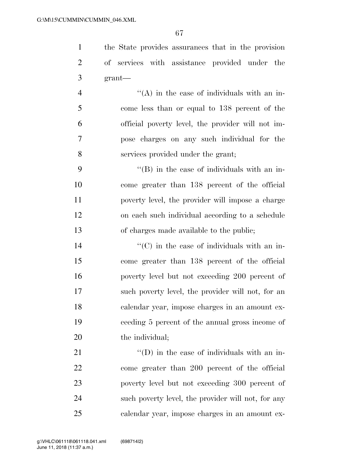the State provides assurances that in the provision of services with assistance provided under the grant—

 $\mathcal{L}$   $\mathcal{L}(\mathbf{A})$  in the case of individuals with an in- come less than or equal to 138 percent of the official poverty level, the provider will not im- pose charges on any such individual for the services provided under the grant;

9 ''(B) in the case of individuals with an in- come greater than 138 percent of the official poverty level, the provider will impose a charge on each such individual according to a schedule of charges made available to the public;

 $\langle ^{\prime}(C) \rangle$  in the case of individuals with an in- come greater than 138 percent of the official poverty level but not exceeding 200 percent of such poverty level, the provider will not, for an calendar year, impose charges in an amount ex- ceeding 5 percent of the annual gross income of 20 the individual;

 ''(D) in the case of individuals with an in- come greater than 200 percent of the official poverty level but not exceeding 300 percent of such poverty level, the provider will not, for any calendar year, impose charges in an amount ex-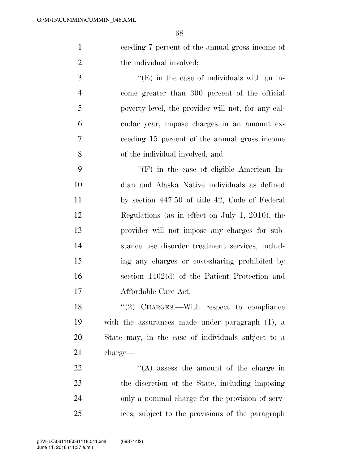ceeding 7 percent of the annual gross income of 2 the individual involved;

 $\cdot$  (E) in the case of individuals with an in- come greater than 300 percent of the official poverty level, the provider will not, for any cal- endar year, impose charges in an amount ex- ceeding 15 percent of the annual gross income of the individual involved; and

 ''(F) in the case of eligible American In- dian and Alaska Native individuals as defined by section 447.50 of title 42, Code of Federal Regulations (as in effect on July 1, 2010), the provider will not impose any charges for sub- stance use disorder treatment services, includ- ing any charges or cost-sharing prohibited by section 1402(d) of the Patient Protection and Affordable Care Act.

18 "(2) CHARGES.—With respect to compliance with the assurances made under paragraph (1), a State may, in the case of individuals subject to a charge—

 $\langle (A)$  assess the amount of the charge in the discretion of the State, including imposing only a nominal charge for the provision of serv-ices, subject to the provisions of the paragraph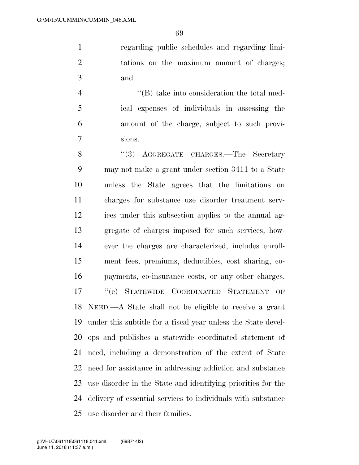regarding public schedules and regarding limi- tations on the maximum amount of charges; and

 ''(B) take into consideration the total med- ical expenses of individuals in assessing the amount of the charge, subject to such provi-sions.

8 "(3) AGGREGATE CHARGES.—The Secretary may not make a grant under section 3411 to a State unless the State agrees that the limitations on charges for substance use disorder treatment serv- ices under this subsection applies to the annual ag- gregate of charges imposed for such services, how- ever the charges are characterized, includes enroll- ment fees, premiums, deductibles, cost sharing, co- payments, co-insurance costs, or any other charges. ''(e) STATEWIDE COORDINATED STATEMENT OF NEED.—A State shall not be eligible to receive a grant under this subtitle for a fiscal year unless the State devel- ops and publishes a statewide coordinated statement of need, including a demonstration of the extent of State need for assistance in addressing addiction and substance use disorder in the State and identifying priorities for the delivery of essential services to individuals with substance use disorder and their families.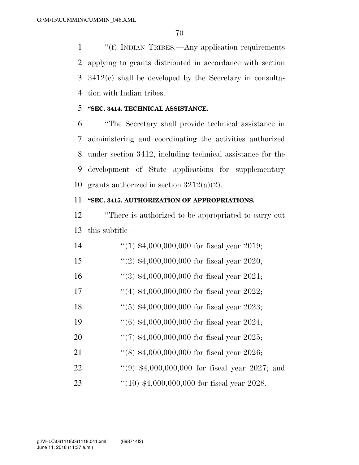''(f) INDIAN TRIBES.—Any application requirements applying to grants distributed in accordance with section 3412(c) shall be developed by the Secretary in consulta-tion with Indian tribes.

## **''SEC. 3414. TECHNICAL ASSISTANCE.**

 ''The Secretary shall provide technical assistance in administering and coordinating the activities authorized under section 3412, including technical assistance for the development of State applications for supplementary 10 grants authorized in section  $3212(a)(2)$ .

#### **''SEC. 3415. AUTHORIZATION OF APPROPRIATIONS.**

 ''There is authorized to be appropriated to carry out this subtitle—

| 14 | $(1)$ \$4,000,000,000 for fiscal year 2019;           |
|----|-------------------------------------------------------|
| 15 | "(2) $$4,000,000,000$ for fiscal year 2020;           |
| 16 | $\lq(3)$ \$4,000,000,000 for fiscal year 2021;        |
| 17 | "(4) $$4,000,000,000$ for fiscal year 2022;           |
| 18 | $(5)$ \$4,000,000,000 for fiscal year 2023;           |
| 19 | $\cdot\cdot(6)$ \$4,000,000,000 for fiscal year 2024; |
| 20 | $\lq(7)$ \$4,000,000,000 for fiscal year 2025;        |
| 21 | $\lq(8)$ \$4,000,000,000 for fiscal year 2026;        |
| 22 | "(9) $$4,000,000,000$ for fiscal year 2027; and       |
| 23 | $(10)$ \$4,000,000,000 for fiscal year 2028.          |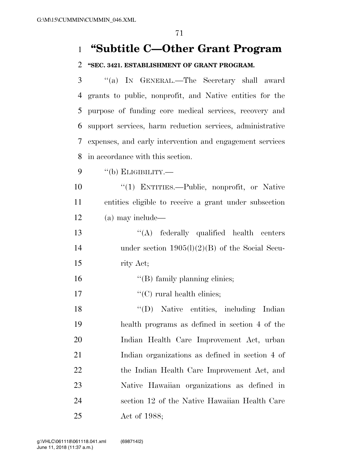# **''Subtitle C—Other Grant Program**

### **''SEC. 3421. ESTABLISHMENT OF GRANT PROGRAM.**

 ''(a) IN GENERAL.—The Secretary shall award grants to public, nonprofit, and Native entities for the purpose of funding core medical services, recovery and support services, harm reduction services, administrative expenses, and early intervention and engagement services in accordance with this section.

''(b) ELIGIBILITY.—

 ''(1) ENTITIES.—Public, nonprofit, or Native entities eligible to receive a grant under subsection (a) may include—

13 ''(A) federally qualified health centers under section 1905(l)(2)(B) of the Social Secu-rity Act;

- 16  $"$ (B) family planning clinics;
- 17  $\text{``(C)}$  rural health clinics;

 ''(D) Native entities, including Indian health programs as defined in section 4 of the Indian Health Care Improvement Act, urban Indian organizations as defined in section 4 of the Indian Health Care Improvement Act, and Native Hawaiian organizations as defined in section 12 of the Native Hawaiian Health Care Act of 1988;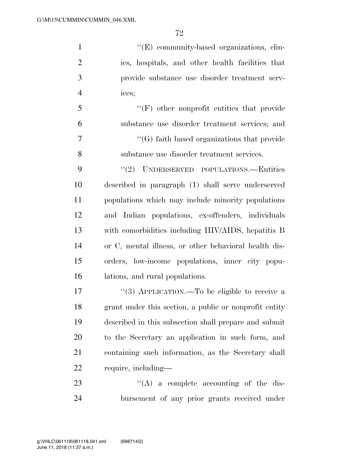$''(E)$  community-based organizations, clin- ics, hospitals, and other health facilities that provide substance use disorder treatment serv- ices; ''(F) other nonprofit entities that provide substance use disorder treatment services; and ''(G) faith based organizations that provide substance use disorder treatment services. 9 "(2) UNDERSERVED POPULATIONS.—Entities described in paragraph (1) shall serve underserved populations which may include minority populations and Indian populations, ex-offenders, individuals with comorbidities including HIV/AIDS, hepatitis B

 or C, mental illness, or other behavioral health dis- orders, low-income populations, inner city popu-lations, and rural populations.

17 "(3) APPLICATION.—To be eligible to receive a grant under this section, a public or nonprofit entity described in this subsection shall prepare and submit to the Secretary an application in such form, and containing such information, as the Secretary shall require, including—

23  $\cdot$  (A) a complete accounting of the dis-bursement of any prior grants received under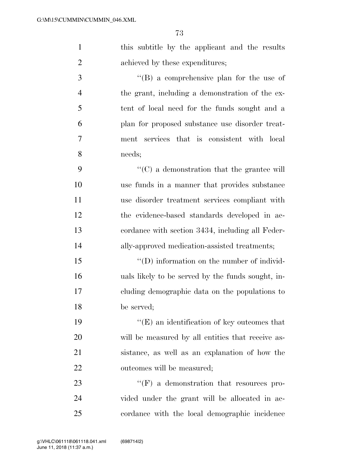| $\mathbf{1}$   | this subtitle by the applicant and the results     |
|----------------|----------------------------------------------------|
| $\overline{2}$ | achieved by these expenditures;                    |
| 3              | $\lq\lq (B)$ a comprehensive plan for the use of   |
| $\overline{4}$ | the grant, including a demonstration of the ex-    |
| 5              | tent of local need for the funds sought and a      |
| 6              | plan for proposed substance use disorder treat-    |
| 7              | ment services that is consistent with local        |
| 8              | needs;                                             |
| 9              | $\lq\lq$ (C) a demonstration that the grantee will |
| 10             | use funds in a manner that provides substance      |
| 11             | use disorder treatment services compliant with     |
| 12             | the evidence-based standards developed in ac-      |
| 13             | cordance with section 3434, including all Feder-   |
| 14             | ally-approved medication-assisted treatments;      |
| 15             | $\lq\lq$ (D) information on the number of individ- |
| 16             | uals likely to be served by the funds sought, in-  |
| 17             | cluding demographic data on the populations to     |
| 18             | be served;                                         |
| 19             | $\lq\lq(E)$ an identification of key outcomes that |
| 20             | will be measured by all entities that receive as-  |
| 21             | sistance, as well as an explanation of how the     |
| 22             | outcomes will be measured;                         |
| 23             | $\lq\lq(F)$ a demonstration that resources pro-    |
| 24             | vided under the grant will be allocated in ac-     |
| 25             | cordance with the local demographic incidence      |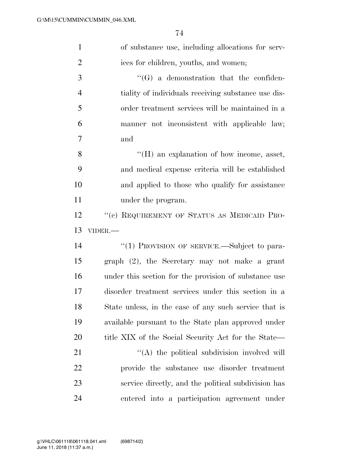| $\mathbf{1}$   | of substance use, including allocations for serv-     |
|----------------|-------------------------------------------------------|
| $\overline{2}$ | ices for children, youths, and women;                 |
| 3              | $\lq\lq(G)$ a demonstration that the confiden-        |
| $\overline{4}$ | tiality of individuals receiving substance use dis-   |
| 5              | order treatment services will be maintained in a      |
| 6              | manner not inconsistent with applicable law;          |
| 7              | and                                                   |
| 8              | $\lq\lq (H)$ an explanation of how income, asset,     |
| 9              | and medical expense criteria will be established      |
| 10             | and applied to those who qualify for assistance       |
| 11             | under the program.                                    |
| 12             | "(c) REQUIREMENT OF STATUS AS MEDICAID PRO-           |
|                |                                                       |
| 13             | VIDER.-                                               |
| 14             | "(1) PROVISION OF SERVICE.—Subject to para-           |
| 15             | graph (2), the Secretary may not make a grant         |
| 16             | under this section for the provision of substance use |
| 17             | disorder treatment services under this section in a   |
| 18             | State unless, in the case of any such service that is |
| 19             | available pursuant to the State plan approved under   |
| 20             | title XIX of the Social Security Act for the State—   |
| 21             | "(A) the political subdivision involved will          |
| 22             | provide the substance use disorder treatment          |
| 23             | service directly, and the political subdivision has   |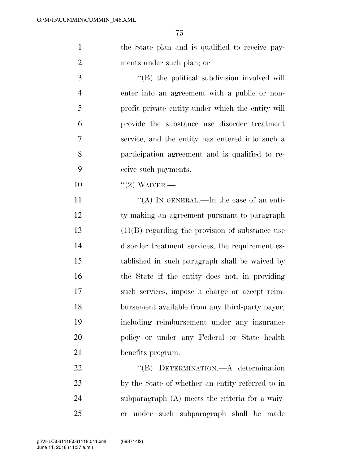1 the State plan and is qualified to receive pay-ments under such plan; or

 $\cdot$  (B) the political subdivision involved will enter into an agreement with a public or non- profit private entity under which the entity will provide the substance use disorder treatment service, and the entity has entered into such a participation agreement and is qualified to re-ceive such payments.

10 "(2) WAIVER.—

 $((A)$  In GENERAL.—In the case of an enti- ty making an agreement pursuant to paragraph (1)(B) regarding the provision of substance use disorder treatment services, the requirement es- tablished in such paragraph shall be waived by the State if the entity does not, in providing such services, impose a charge or accept reim- bursement available from any third-party payor, including reimbursement under any insurance policy or under any Federal or State health benefits program.

22 "(B) DETERMINATION.—A determination by the State of whether an entity referred to in subparagraph (A) meets the criteria for a waiv-er under such subparagraph shall be made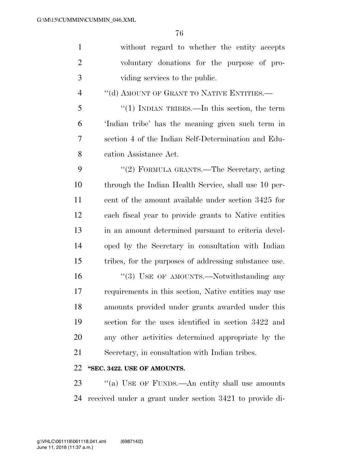| $\mathbf{1}$   | without regard to whether the entity accepts          |
|----------------|-------------------------------------------------------|
| $\overline{2}$ | voluntary donations for the purpose of pro-           |
| 3              | viding services to the public.                        |
| $\overline{4}$ | "(d) AMOUNT OF GRANT TO NATIVE ENTITIES.-             |
| 5              | " $(1)$ INDIAN TRIBES.—In this section, the term      |
| 6              | 'Indian tribe' has the meaning given such term in     |
| 7              | section 4 of the Indian Self-Determination and Edu-   |
| 8              | cation Assistance Act.                                |
| 9              | "(2) FORMULA GRANTS.—The Secretary, acting            |
| 10             | through the Indian Health Service, shall use 10 per-  |
| 11             | cent of the amount available under section 3425 for   |
| 12             | each fiscal year to provide grants to Native entities |
| 13             | in an amount determined pursuant to criteria devel-   |
| 14             | oped by the Secretary in consultation with Indian     |
| 15             | tribes, for the purposes of addressing substance use. |
| 16             | "(3) USE OF AMOUNTS.—Notwithstanding any              |
| 17             | requirements in this section, Native entities may use |
| 18             | amounts provided under grants awarded under this      |
| 19             | section for the uses identified in section 3422 and   |
| 20             | any other activities determined appropriate by the    |
| 21             | Secretary, in consultation with Indian tribes.        |
| 22             | "SEC. 3422. USE OF AMOUNTS.                           |

23 "(a) USE OF FUNDS.—An entity shall use amounts received under a grant under section 3421 to provide di-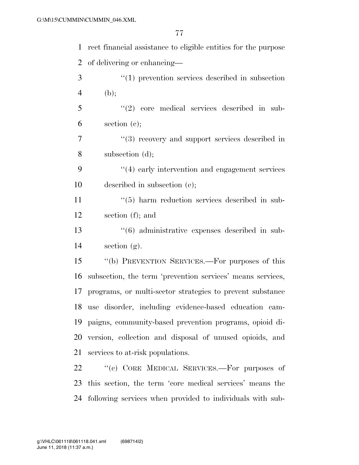| $\mathbf{1}$   | rect financial assistance to eligible entities for the purpose |
|----------------|----------------------------------------------------------------|
| $\overline{2}$ | of delivering or enhancing—                                    |
| 3              | $\lq(1)$ prevention services described in subsection           |
| $\overline{4}$ | (b);                                                           |
| 5              | $(2)$ core medical services described in sub-                  |
| 6              | section $(e);$                                                 |
| 7              | $(3)$ recovery and support services described in               |
| 8              | subsection (d);                                                |
| 9              | $\cdot$ (4) early intervention and engagement services         |
| 10             | described in subsection (e);                                   |
| 11             | $\cdot\cdot$ (5) harm reduction services described in sub-     |
| 12             | section $(f)$ ; and                                            |
| 13             | $\cdot\cdot\cdot(6)$ administrative expenses described in sub- |
| 14             | section $(g)$ .                                                |
| 15             | "(b) PREVENTION SERVICES.—For purposes of this                 |
| 16             | subsection, the term 'prevention services' means services,     |
| 17             | programs, or multi-sector strategies to prevent substance      |
|                | 18 use disorder, including evidence-based education cam-       |
| 19             | paigns, community-based prevention programs, opioid di-        |
| 20             | version, collection and disposal of unused opioids, and        |
| 21             | services to at-risk populations.                               |
| 22             | "(c) CORE MEDICAL SERVICES.—For purposes of                    |
| 23             | this section, the term 'core medical services' means the       |
| 24             | following services when provided to individuals with sub-      |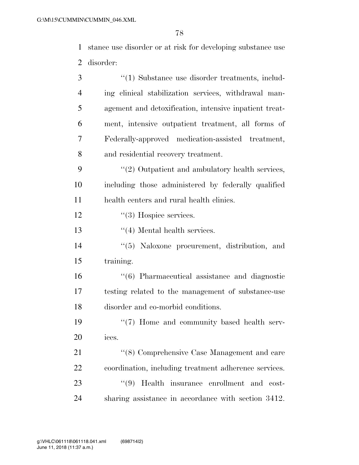stance use disorder or at risk for developing substance use disorder:

| 3              | "(1) Substance use disorder treatments, includ-           |
|----------------|-----------------------------------------------------------|
| $\overline{4}$ | ing clinical stabilization services, withdrawal man-      |
| 5              | agement and detoxification, intensive inpatient treat-    |
| 6              | ment, intensive outpatient treatment, all forms of        |
| 7              | Federally-approved medication-assisted treatment,         |
| 8              | and residential recovery treatment.                       |
| 9              | $\lq(2)$ Outpatient and ambulatory health services,       |
| 10             | including those administered by federally qualified       |
| 11             | health centers and rural health clinics.                  |
| 12             | $\cdot\cdot(3)$ Hospice services.                         |
| 13             | $\lq(4)$ Mental health services.                          |
| 14             | "(5) Naloxone procurement, distribution, and              |
| 15             | training.                                                 |
| 16             | $\cdot\cdot$ (6) Pharmaceutical assistance and diagnostic |
| 17             | testing related to the management of substance-use        |
| 18             | disorder and co-morbid conditions.                        |
| 19             | $\lq(7)$ Home and community based health serv-            |
| 20             | ices.                                                     |
| 21             | "(8) Comprehensive Case Management and care               |
| 22             | coordination, including treatment adherence services.     |
| 23             | (9)<br>Health insurance enrollment and cost-              |
| 24             | sharing assistance in accordance with section 3412.       |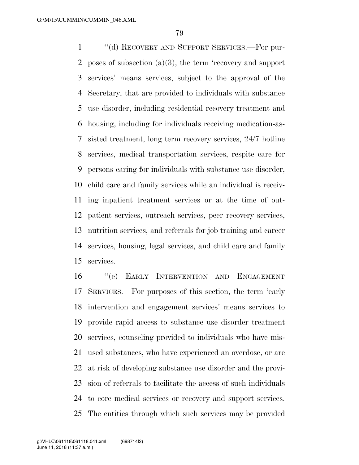''(d) RECOVERY AND SUPPORT SERVICES.—For pur- poses of subsection (a)(3), the term 'recovery and support services' means services, subject to the approval of the Secretary, that are provided to individuals with substance use disorder, including residential recovery treatment and housing, including for individuals receiving medication-as- sisted treatment, long term recovery services, 24/7 hotline services, medical transportation services, respite care for persons caring for individuals with substance use disorder, child care and family services while an individual is receiv- ing inpatient treatment services or at the time of out- patient services, outreach services, peer recovery services, nutrition services, and referrals for job training and career services, housing, legal services, and child care and family services.

 ''(e) EARLY INTERVENTION AND ENGAGEMENT SERVICES.—For purposes of this section, the term 'early intervention and engagement services' means services to provide rapid access to substance use disorder treatment services, counseling provided to individuals who have mis- used substances, who have experienced an overdose, or are at risk of developing substance use disorder and the provi- sion of referrals to facilitate the access of such individuals to core medical services or recovery and support services. The entities through which such services may be provided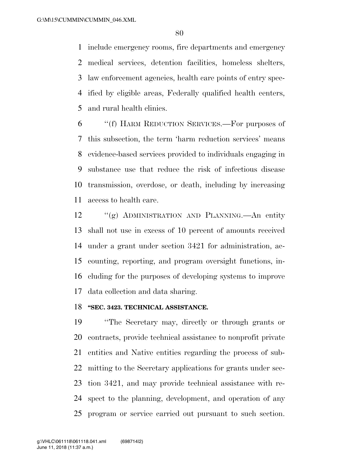include emergency rooms, fire departments and emergency medical services, detention facilities, homeless shelters, law enforcement agencies, health care points of entry spec- ified by eligible areas, Federally qualified health centers, and rural health clinics.

 ''(f) HARM REDUCTION SERVICES.—For purposes of this subsection, the term 'harm reduction services' means evidence-based services provided to individuals engaging in substance use that reduce the risk of infectious disease transmission, overdose, or death, including by increasing access to health care.

 ''(g) ADMINISTRATION AND PLANNING.—An entity shall not use in excess of 10 percent of amounts received under a grant under section 3421 for administration, ac- counting, reporting, and program oversight functions, in- cluding for the purposes of developing systems to improve data collection and data sharing.

#### **''SEC. 3423. TECHNICAL ASSISTANCE.**

 ''The Secretary may, directly or through grants or contracts, provide technical assistance to nonprofit private entities and Native entities regarding the process of sub- mitting to the Secretary applications for grants under sec- tion 3421, and may provide technical assistance with re- spect to the planning, development, and operation of any program or service carried out pursuant to such section.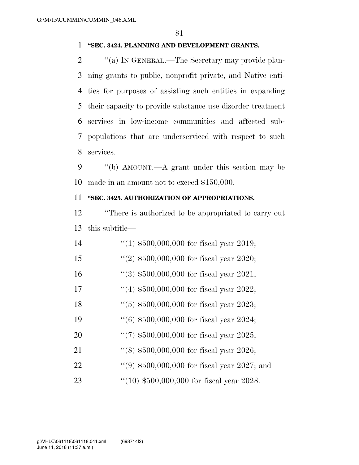#### **''SEC. 3424. PLANNING AND DEVELOPMENT GRANTS.**

2 "(a) IN GENERAL.—The Secretary may provide plan- ning grants to public, nonprofit private, and Native enti- ties for purposes of assisting such entities in expanding their capacity to provide substance use disorder treatment services in low-income communities and affected sub- populations that are underserviced with respect to such services.

9 "(b) AMOUNT.—A grant under this section may be made in an amount not to exceed \$150,000.

## **''SEC. 3425. AUTHORIZATION OF APPROPRIATIONS.**

 ''There is authorized to be appropriated to carry out this subtitle—

| 14 | $(1)$ \$500,000,000 for fiscal year 2019;     |
|----|-----------------------------------------------|
| 15 | "(2) $$500,000,000$ for fiscal year 2020;     |
| 16 | $(3)$ \$500,000,000 for fiscal year 2021;     |
| 17 | "(4) $$500,000,000$ for fiscal year 2022;     |
| 18 | $(5)$ \$500,000,000 for fiscal year 2023;     |
| 19 | $(6)$ \$500,000,000 for fiscal year 2024;     |
| 20 | "(7) $$500,000,000$ for fiscal year 2025;     |
| 21 | $(8)$ \$500,000,000 for fiscal year 2026;     |
| 22 | "(9) $$500,000,000$ for fiscal year 2027; and |
| 23 | $(10)$ \$500,000,000 for fiscal year 2028.    |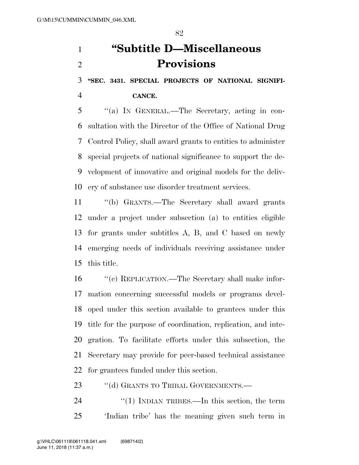**''SEC. 3431. SPECIAL PROJECTS OF NATIONAL SIGNIFI-**

**CANCE.** 

 ''(a) IN GENERAL.—The Secretary, acting in con- sultation with the Director of the Office of National Drug Control Policy, shall award grants to entities to administer special projects of national significance to support the de- velopment of innovative and original models for the deliv-ery of substance use disorder treatment services.

 ''(b) GRANTS.—The Secretary shall award grants under a project under subsection (a) to entities eligible for grants under subtitles A, B, and C based on newly emerging needs of individuals receiving assistance under this title.

 ''(c) REPLICATION.—The Secretary shall make infor- mation concerning successful models or programs devel- oped under this section available to grantees under this title for the purpose of coordination, replication, and inte- gration. To facilitate efforts under this subsection, the Secretary may provide for peer-based technical assistance for grantees funded under this section.

23 "(d) GRANTS TO TRIBAL GOVERNMENTS.—

24 "(1) INDIAN TRIBES.—In this section, the term 'Indian tribe' has the meaning given such term in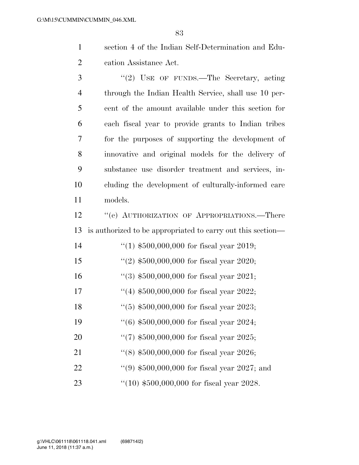section 4 of the Indian Self-Determination and Edu-cation Assistance Act.

3 "(2) USE OF FUNDS.—The Secretary, acting through the Indian Health Service, shall use 10 per- cent of the amount available under this section for each fiscal year to provide grants to Indian tribes for the purposes of supporting the development of innovative and original models for the delivery of substance use disorder treatment and services, in- cluding the development of culturally-informed care models.

12 "(e) AUTHORIZATION OF APPROPRIATIONS.—There is authorized to be appropriated to carry out this section—

| 14 | $(1)$ \$500,000,000 for fiscal year 2019;     |
|----|-----------------------------------------------|
| 15 | $(2)$ \$500,000,000 for fiscal year 2020;     |
| 16 | $(3)$ \$500,000,000 for fiscal year 2021;     |
| 17 | $(4)$ \$500,000,000 for fiscal year 2022;     |
| 18 | $(5)$ \$500,000,000 for fiscal year 2023;     |
| 19 | $(6)$ \$500,000,000 for fiscal year 2024;     |
| 20 | "(7) $$500,000,000$ for fiscal year 2025;     |
| 21 | $(18)$ \$500,000,000 for fiscal year 2026;    |
| 22 | $(9)$ \$500,000,000 for fiscal year 2027; and |
| 23 | $(10)$ \$500,000,000 for fiscal year 2028.    |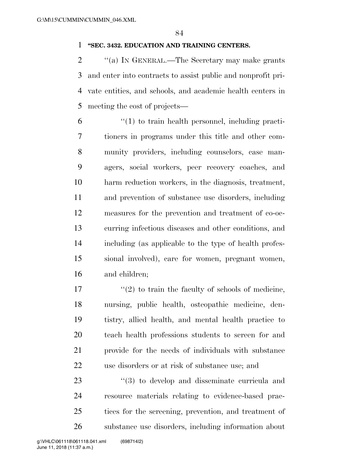#### **''SEC. 3432. EDUCATION AND TRAINING CENTERS.**

2 "(a) IN GENERAL.—The Secretary may make grants and enter into contracts to assist public and nonprofit pri- vate entities, and schools, and academic health centers in meeting the cost of projects—

 ''(1) to train health personnel, including practi- tioners in programs under this title and other com- munity providers, including counselors, case man- agers, social workers, peer recovery coaches, and harm reduction workers, in the diagnosis, treatment, and prevention of substance use disorders, including measures for the prevention and treatment of co-oc- curring infectious diseases and other conditions, and including (as applicable to the type of health profes- sional involved), care for women, pregnant women, and children;

 $\frac{17}{2}$  ''(2) to train the faculty of schools of medicine, nursing, public health, osteopathic medicine, den- tistry, allied health, and mental health practice to teach health professions students to screen for and provide for the needs of individuals with substance use disorders or at risk of substance use; and

 $\frac{1}{2}$  (3) to develop and disseminate curricula and resource materials relating to evidence-based prac- tices for the screening, prevention, and treatment of substance use disorders, including information about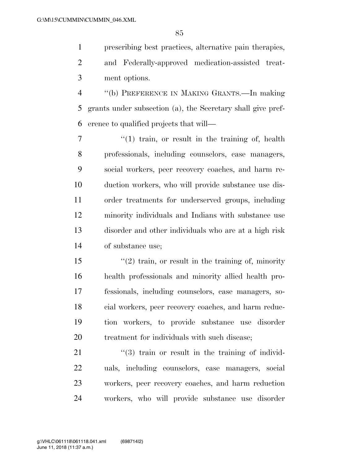prescribing best practices, alternative pain therapies, and Federally-approved medication-assisted treat-

ment options.

 ''(b) PREFERENCE IN MAKING GRANTS.—In making grants under subsection (a), the Secretary shall give pref-erence to qualified projects that will—

7 "(1) train, or result in the training of, health professionals, including counselors, case managers, social workers, peer recovery coaches, and harm re- duction workers, who will provide substance use dis- order treatments for underserved groups, including minority individuals and Indians with substance use disorder and other individuals who are at a high risk of substance use;

 ''(2) train, or result in the training of, minority health professionals and minority allied health pro- fessionals, including counselors, case managers, so- cial workers, peer recovery coaches, and harm reduc- tion workers, to provide substance use disorder 20 treatment for individuals with such disease:

21 ''(3) train or result in the training of individ- uals, including counselors, case managers, social workers, peer recovery coaches, and harm reduction workers, who will provide substance use disorder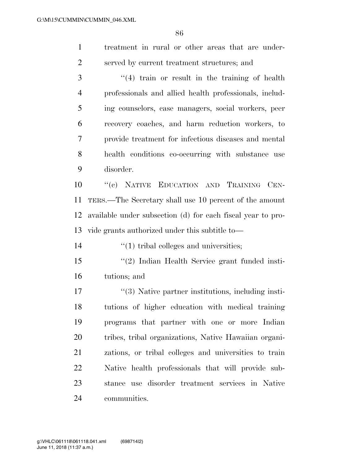| treatment in rural or other areas that are under- |
|---------------------------------------------------|
| served by current treatment structures; and       |

 ''(4) train or result in the training of health professionals and allied health professionals, includ- ing counselors, case managers, social workers, peer recovery coaches, and harm reduction workers, to provide treatment for infectious diseases and mental health conditions co-occurring with substance use disorder.

 ''(c) NATIVE EDUCATION AND TRAINING CEN- TERS.—The Secretary shall use 10 percent of the amount available under subsection (d) for each fiscal year to pro-vide grants authorized under this subtitle to—

14  $\frac{1}{2}$  (1) tribal colleges and universities;

 ''(2) Indian Health Service grant funded insti-tutions; and

17 ''(3) Native partner institutions, including insti- tutions of higher education with medical training programs that partner with one or more Indian tribes, tribal organizations, Native Hawaiian organi- zations, or tribal colleges and universities to train Native health professionals that will provide sub- stance use disorder treatment services in Native communities.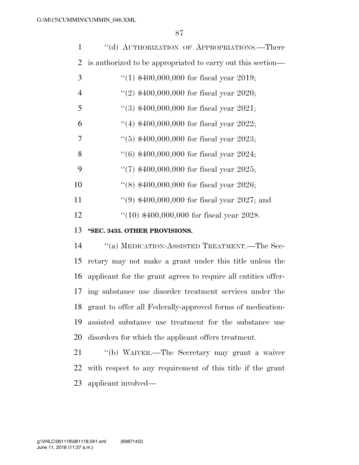| 1              | "(d) AUTHORIZATION OF APPROPRIATIONS.—There                 |
|----------------|-------------------------------------------------------------|
| $\overline{2}$ | is authorized to be appropriated to carry out this section— |
| 3              | "(1) $$400,000,000$ for fiscal year 2019;                   |
| $\overline{4}$ | "(2) $$400,000,000$ for fiscal year 2020;                   |
| 5              | $(3)$ \$400,000,000 for fiscal year 2021;                   |
| 6              | "(4) $$400,000,000$ for fiscal year 2022;                   |
| 7              | $(5)$ \$400,000,000 for fiscal year 2023;                   |
| 8              | $(6)$ \$400,000,000 for fiscal year 2024;                   |
| 9              | "(7) $$400,000,000$ for fiscal year 2025;                   |
| 10             | "(8) $$400,000,000$ for fiscal year 2026;                   |
| 11             | $(9)$ \$400,000,000 for fiscal year 2027; and               |
| 12             | $(10)$ \$400,000,000 for fiscal year 2028.                  |
| 13             | "SEC. 3433. OTHER PROVISIONS.                               |
| 14             | "(a) MEDICATION-ASSISTED TREATMENT.—The Sec-                |

 retary may not make a grant under this title unless the applicant for the grant agrees to require all entities offer- ing substance use disorder treatment services under the grant to offer all Federally-approved forms of medication- assisted substance use treatment for the substance use disorders for which the applicant offers treatment.

 ''(b) WAIVER.—The Secretary may grant a waiver with respect to any requirement of this title if the grant applicant involved—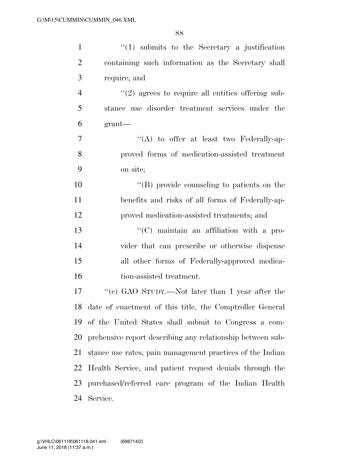| $\mathbf{1}$   | $\lq(1)$ submits to the Secretary a justification           |
|----------------|-------------------------------------------------------------|
| $\overline{2}$ | containing such information as the Secretary shall          |
| 3              | require; and                                                |
| $\overline{4}$ | $\lq(2)$ agrees to require all entities offering sub-       |
| 5              | stance use disorder treatment services under the            |
| 6              | $grant$ —                                                   |
| 7              | $\lq\lq$ to offer at least two Federally-ap-                |
| 8              | proved forms of medication-assisted treatment               |
| 9              | on site;                                                    |
| 10             | $\lq\lq$ (B) provide counseling to patients on the          |
| 11             | benefits and risks of all forms of Federally-ap-            |
| 12             | proved medication-assisted treatments; and                  |
| 13             | $\lq\lq$ maintain an affiliation with a pro-                |
| 14             | vider that can prescribe or otherwise dispense              |
| 15             | all other forms of Federally-approved medica-               |
| 16             | tion-assisted treatment.                                    |
| 17             | "(c) GAO STUDY.—Not later than 1 year after the             |
|                | 18 date of enactment of this title, the Comptroller General |
|                | 19 of the United States shall submit to Congress a com-     |
| 20             | prehensive report describing any relationship between sub-  |
| 21             | stance use rates, pain management practices of the Indian   |
| 22             | Health Service, and patient request denials through the     |
| 23             | purchased/referred care program of the Indian Health        |
| 24             | Service.                                                    |
|                |                                                             |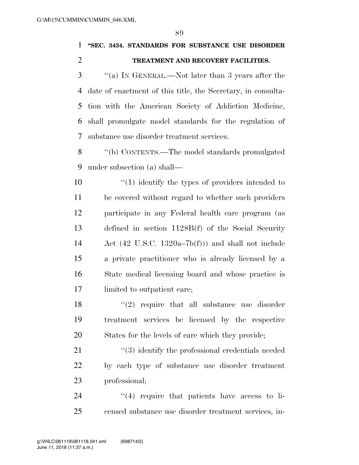**''SEC. 3434. STANDARDS FOR SUBSTANCE USE DISORDER TREATMENT AND RECOVERY FACILITIES.** 

 ''(a) IN GENERAL.—Not later than 3 years after the date of enactment of this title, the Secretary, in consulta- tion with the American Society of Addiction Medicine, shall promulgate model standards for the regulation of substance use disorder treatment services.

 ''(b) CONTENTS.—The model standards promulgated under subsection (a) shall—

 $\frac{10}{10}$  identify the types of providers intended to be covered without regard to whether such providers participate in any Federal health care program (as defined in section 1128B(f) of the Social Security Act (42 U.S.C. 1320a–7b(f))) and shall not include a private practitioner who is already licensed by a State medical licensing board and whose practice is limited to outpatient care;

 $\frac{18}{2}$  ''(2) require that all substance use disorder treatment services be licensed by the respective States for the levels of care which they provide;

21 ''(3) identify the professional credentials needed by each type of substance use disorder treatment professional;

24  $(4)$  require that patients have access to li-censed substance use disorder treatment services, in-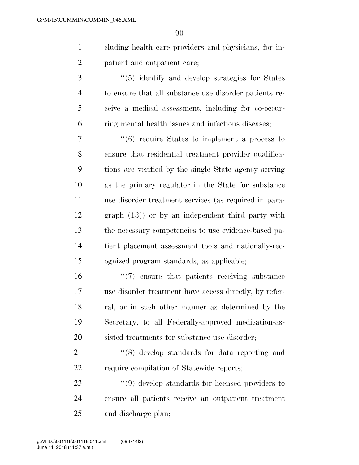- cluding health care providers and physicians, for in-patient and outpatient care;
- 3 (5) identify and develop strategies for States to ensure that all substance use disorder patients re- ceive a medical assessment, including for co-occur-ring mental health issues and infectious diseases;

 ''(6) require States to implement a process to ensure that residential treatment provider qualifica- tions are verified by the single State agency serving as the primary regulator in the State for substance use disorder treatment services (as required in para- graph (13)) or by an independent third party with the necessary competencies to use evidence-based pa- tient placement assessment tools and nationally-rec-ognized program standards, as applicable;

 ''(7) ensure that patients receiving substance use disorder treatment have access directly, by refer- ral, or in such other manner as determined by the Secretary, to all Federally-approved medication-as-20 sisted treatments for substance use disorder:

21 ''(8) develop standards for data reporting and 22 require compilation of Statewide reports;

23 ''(9) develop standards for licensed providers to ensure all patients receive an outpatient treatment and discharge plan;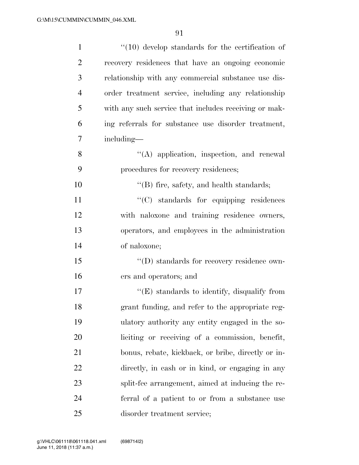| $\mathbf{1}$   | $\lq(10)$ develop standards for the certification of  |
|----------------|-------------------------------------------------------|
| $\overline{2}$ | recovery residences that have an ongoing economic     |
| 3              | relationship with any commercial substance use dis-   |
| $\overline{4}$ | order treatment service, including any relationship   |
| 5              | with any such service that includes receiving or mak- |
| 6              | ing referrals for substance use disorder treatment,   |
| 7              | including—                                            |
| 8              | $\lq\lq$ application, inspection, and renewal         |
| 9              | procedures for recovery residences;                   |
| 10             | $\lq\lq$ fire, safety, and health standards;          |
| 11             | "(C) standards for equipping residences               |
| 12             | with naloxone and training residence owners,          |
| 13             | operators, and employees in the administration        |
| 14             | of naloxone;                                          |
| 15             | "(D) standards for recovery residence own-            |
| 16             | ers and operators; and                                |
| 17             | $\lq\lq(E)$ standards to identify, disqualify from    |
| 18             | grant funding, and refer to the appropriate reg-      |
| 19             | ulatory authority any entity engaged in the so-       |
| 20             | liciting or receiving of a commission, benefit,       |
| 21             | bonus, rebate, kickback, or bribe, directly or in-    |
| 22             | directly, in cash or in kind, or engaging in any      |
| 23             | split-fee arrangement, aimed at inducing the re-      |
| 24             | ferral of a patient to or from a substance use        |
| 25             | disorder treatment service;                           |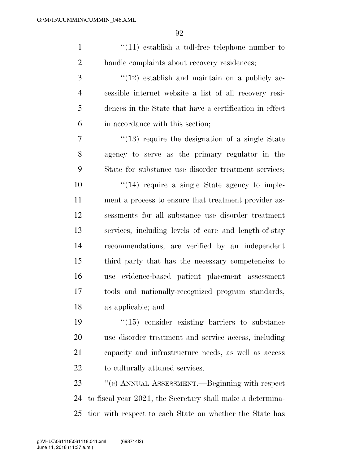1 ''(11) establish a toll-free telephone number to handle complaints about recovery residences;

 ''(12) establish and maintain on a publicly ac- cessible internet website a list of all recovery resi- dences in the State that have a certification in effect in accordance with this section;

7 ''(13) require the designation of a single State agency to serve as the primary regulator in the State for substance use disorder treatment services;

 $\frac{1}{2}$  (14) require a single State agency to imple- ment a process to ensure that treatment provider as- sessments for all substance use disorder treatment services, including levels of care and length-of-stay recommendations, are verified by an independent third party that has the necessary competencies to use evidence-based patient placement assessment tools and nationally-recognized program standards, as applicable; and

 $\frac{1}{2}$  (15) consider existing barriers to substance use disorder treatment and service access, including capacity and infrastructure needs, as well as access to culturally attuned services.

 ''(c) ANNUAL ASSESSMENT.—Beginning with respect to fiscal year 2021, the Secretary shall make a determina-tion with respect to each State on whether the State has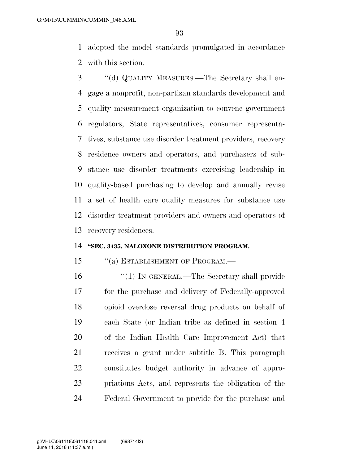adopted the model standards promulgated in accordance with this section.

 ''(d) QUALITY MEASURES.—The Secretary shall en- gage a nonprofit, non-partisan standards development and quality measurement organization to convene government regulators, State representatives, consumer representa- tives, substance use disorder treatment providers, recovery residence owners and operators, and purchasers of sub- stance use disorder treatments exercising leadership in quality-based purchasing to develop and annually revise a set of health care quality measures for substance use disorder treatment providers and owners and operators of recovery residences.

## **''SEC. 3435. NALOXONE DISTRIBUTION PROGRAM.**

## 15 "(a) ESTABLISHMENT OF PROGRAM.—

 ''(1) IN GENERAL.—The Secretary shall provide for the purchase and delivery of Federally-approved opioid overdose reversal drug products on behalf of each State (or Indian tribe as defined in section 4 of the Indian Health Care Improvement Act) that receives a grant under subtitle B. This paragraph constitutes budget authority in advance of appro- priations Acts, and represents the obligation of the Federal Government to provide for the purchase and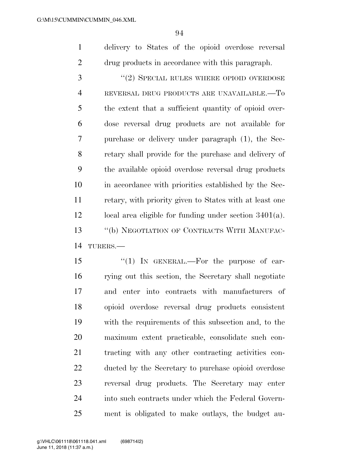delivery to States of the opioid overdose reversal drug products in accordance with this paragraph.

3 "(2) SPECIAL RULES WHERE OPIOID OVERDOSE REVERSAL DRUG PRODUCTS ARE UNAVAILABLE.—To the extent that a sufficient quantity of opioid over- dose reversal drug products are not available for purchase or delivery under paragraph (1), the Sec- retary shall provide for the purchase and delivery of the available opioid overdose reversal drug products in accordance with priorities established by the Sec- retary, with priority given to States with at least one local area eligible for funding under section 3401(a). ''(b) NEGOTIATION OF CONTRACTS WITH MANUFAC-TURERS.—

15 "(1) In GENERAL.—For the purpose of car- rying out this section, the Secretary shall negotiate and enter into contracts with manufacturers of opioid overdose reversal drug products consistent with the requirements of this subsection and, to the maximum extent practicable, consolidate such con- tracting with any other contracting activities con- ducted by the Secretary to purchase opioid overdose reversal drug products. The Secretary may enter into such contracts under which the Federal Govern-ment is obligated to make outlays, the budget au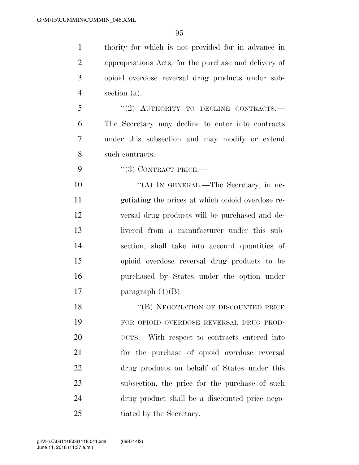thority for which is not provided for in advance in appropriations Acts, for the purchase and delivery of opioid overdose reversal drug products under sub-section (a).

5 "(2) AUTHORITY TO DECLINE CONTRACTS.— The Secretary may decline to enter into contracts under this subsection and may modify or extend such contracts.

9 "(3) CONTRACT PRICE.—

10 "(A) IN GENERAL.—The Secretary, in ne- gotiating the prices at which opioid overdose re- versal drug products will be purchased and de- livered from a manufacturer under this sub- section, shall take into account quantities of opioid overdose reversal drug products to be purchased by States under the option under 17 paragraph  $(4)(B)$ .

18 "(B) NEGOTIATION OF DISCOUNTED PRICE FOR OPIOID OVERDOSE REVERSAL DRUG PROD- UCTS.—With respect to contracts entered into for the purchase of opioid overdose reversal drug products on behalf of States under this subsection, the price for the purchase of such drug product shall be a discounted price nego-25 tiated by the Secretary.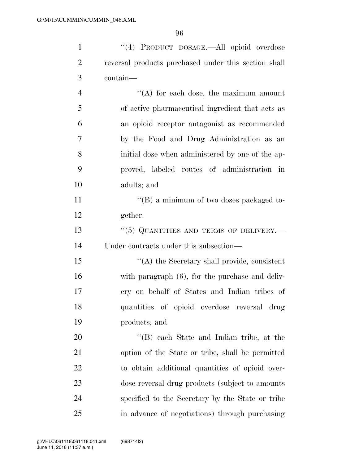| $\mathbf{1}$   | "(4) PRODUCT DOSAGE.—All opioid overdose             |
|----------------|------------------------------------------------------|
| $\overline{2}$ | reversal products purchased under this section shall |
| 3              | contain-                                             |
| $\overline{4}$ | $\lq\lq$ for each dose, the maximum amount           |
| 5              | of active pharmaceutical ingredient that acts as     |
| 6              | an opioid receptor antagonist as recommended         |
| 7              | by the Food and Drug Administration as an            |
| 8              | initial dose when administered by one of the ap-     |
| 9              | proved, labeled routes of administration in          |
| 10             | adults; and                                          |
| 11             | $\lq\lq (B)$ a minimum of two doses packaged to-     |
| 12             | gether.                                              |
| 13             | $``(5)$ QUANTITIES AND TERMS OF DELIVERY.—           |
| 14             | Under contracts under this subsection—               |
| 15             | "(A) the Secretary shall provide, consistent         |
| 16             | with paragraph (6), for the purchase and deliv-      |
| 17             | ery on behalf of States and Indian tribes of         |
| 18             | quantities of opioid overdose reversal drug          |
| 19             | products; and                                        |
| 20             | "(B) each State and Indian tribe, at the             |
| 21             | option of the State or tribe, shall be permitted     |
| 22             | to obtain additional quantities of opioid over-      |
| 23             | dose reversal drug products (subject to amounts      |
| 24             | specified to the Secretary by the State or tribe     |
| 25             | in advance of negotiations) through purchasing       |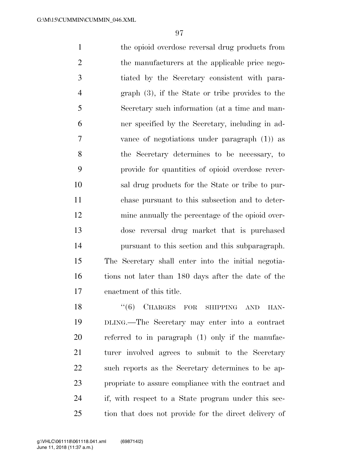1 the opioid overdose reversal drug products from 2 the manufacturers at the applicable price nego- tiated by the Secretary consistent with para- graph (3), if the State or tribe provides to the Secretary such information (at a time and man- ner specified by the Secretary, including in ad- vance of negotiations under paragraph (1)) as the Secretary determines to be necessary, to provide for quantities of opioid overdose rever- sal drug products for the State or tribe to pur- chase pursuant to this subsection and to deter- mine annually the percentage of the opioid over- dose reversal drug market that is purchased pursuant to this section and this subparagraph. The Secretary shall enter into the initial negotia- tions not later than 180 days after the date of the enactment of this title.

18 "(6) CHARGES FOR SHIPPING AND HAN- DLING.—The Secretary may enter into a contract referred to in paragraph (1) only if the manufac- turer involved agrees to submit to the Secretary such reports as the Secretary determines to be ap- propriate to assure compliance with the contract and if, with respect to a State program under this sec-tion that does not provide for the direct delivery of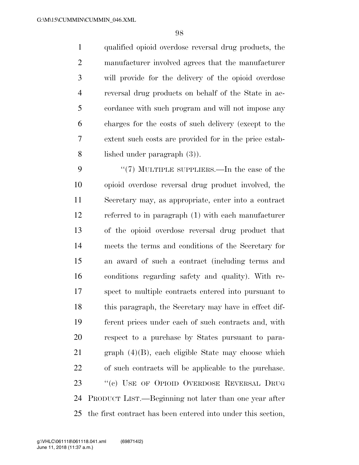qualified opioid overdose reversal drug products, the manufacturer involved agrees that the manufacturer will provide for the delivery of the opioid overdose reversal drug products on behalf of the State in ac- cordance with such program and will not impose any charges for the costs of such delivery (except to the extent such costs are provided for in the price estab-lished under paragraph (3)).

9 "(7) MULTIPLE SUPPLIERS.—In the case of the opioid overdose reversal drug product involved, the Secretary may, as appropriate, enter into a contract referred to in paragraph (1) with each manufacturer of the opioid overdose reversal drug product that meets the terms and conditions of the Secretary for an award of such a contract (including terms and conditions regarding safety and quality). With re- spect to multiple contracts entered into pursuant to this paragraph, the Secretary may have in effect dif- ferent prices under each of such contracts and, with respect to a purchase by States pursuant to para- graph (4)(B), each eligible State may choose which of such contracts will be applicable to the purchase. 23 "(c) USE OF OPIOID OVERDOSE REVERSAL DRUG PRODUCT LIST.—Beginning not later than one year after the first contract has been entered into under this section,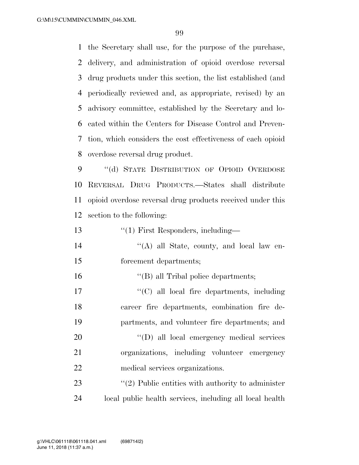the Secretary shall use, for the purpose of the purchase, delivery, and administration of opioid overdose reversal drug products under this section, the list established (and periodically reviewed and, as appropriate, revised) by an advisory committee, established by the Secretary and lo- cated within the Centers for Disease Control and Preven- tion, which considers the cost effectiveness of each opioid overdose reversal drug product.

9 "(d) STATE DISTRIBUTION OF OPIOID OVERDOSE REVERSAL DRUG PRODUCTS.—States shall distribute opioid overdose reversal drug products received under this section to the following:

13 ''(1) First Responders, including—

- ''(A) all State, county, and local law en-forcement departments;
- ''(B) all Tribal police departments;
- 17  $\lq\lq$  (C) all local fire departments, including career fire departments, combination fire de-partments, and volunteer fire departments; and
- 20  $'(D)$  all local emergency medical services organizations, including volunteer emergency medical services organizations.

23  $\frac{1}{2}$  Public entities with authority to administer local public health services, including all local health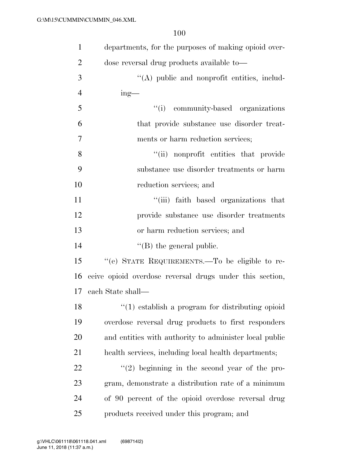| $\mathbf{1}$   | departments, for the purposes of making opioid over-     |
|----------------|----------------------------------------------------------|
| $\overline{2}$ | dose reversal drug products available to—                |
| 3              | "(A) public and nonprofit entities, includ-              |
| $\overline{4}$ | $ing$ —                                                  |
| 5              | "(i) community-based organizations                       |
| 6              | that provide substance use disorder treat-               |
| 7              | ments or harm reduction services;                        |
| 8              | "(ii) nonprofit entities that provide                    |
| 9              | substance use disorder treatments or harm                |
| 10             | reduction services; and                                  |
| 11             | "(iii) faith based organizations that                    |
| 12             | provide substance use disorder treatments                |
| 13             | or harm reduction services; and                          |
| 14             | $\lq\lq$ (B) the general public.                         |
| 15             | "(e) STATE REQUIREMENTS.—To be eligible to re-           |
| 16             | ceive opioid overdose reversal drugs under this section, |
| 17             | each State shall—                                        |
| 18             | $\lq(1)$ establish a program for distributing opioid     |
| 19             | overdose reversal drug products to first responders      |
| 20             | and entities with authority to administer local public   |
| 21             | health services, including local health departments;     |
| 22             | $(2)$ beginning in the second year of the pro-           |
| 23             | gram, demonstrate a distribution rate of a minimum       |
| 24             | of 90 percent of the opioid overdose reversal drug       |
| 25             | products received under this program; and                |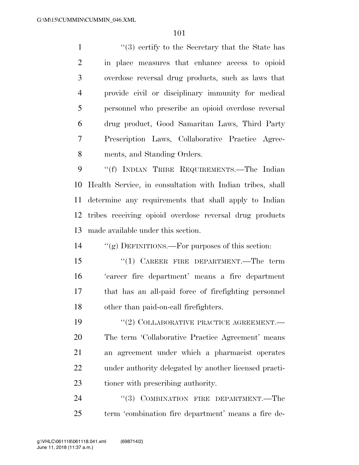1 ''(3) certify to the Secretary that the State has in place measures that enhance access to opioid overdose reversal drug products, such as laws that provide civil or disciplinary immunity for medical personnel who prescribe an opioid overdose reversal drug product, Good Samaritan Laws, Third Party Prescription Laws, Collaborative Practice Agree-ments, and Standing Orders.

 ''(f) INDIAN TRIBE REQUIREMENTS.—The Indian Health Service, in consultation with Indian tribes, shall determine any requirements that shall apply to Indian tribes receiving opioid overdose reversal drug products made available under this section.

''(g) DEFINITIONS.—For purposes of this section:

15 "(1) CAREER FIRE DEPARTMENT.—The term 'career fire department' means a fire department that has an all-paid force of firefighting personnel other than paid-on-call firefighters.

19 "(2) COLLABORATIVE PRACTICE AGREEMENT.— The term 'Collaborative Practice Agreement' means an agreement under which a pharmacist operates under authority delegated by another licensed practi-tioner with prescribing authority.

24 "(3) COMBINATION FIRE DEPARTMENT.—The term 'combination fire department' means a fire de-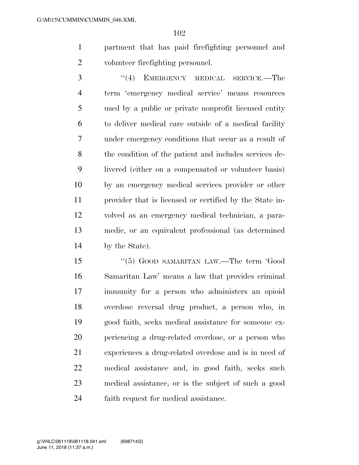partment that has paid firefighting personnel and volunteer firefighting personnel.

3 "(4) EMERGENCY MEDICAL SERVICE.—The term 'emergency medical service' means resources used by a public or private nonprofit licensed entity to deliver medical care outside of a medical facility under emergency conditions that occur as a result of the condition of the patient and includes services de- livered (either on a compensated or volunteer basis) by an emergency medical services provider or other provider that is licensed or certified by the State in- volved as an emergency medical technician, a para- medic, or an equivalent professional (as determined by the State).

15 "(5) GOOD SAMARITAN LAW.—The term 'Good Samaritan Law' means a law that provides criminal immunity for a person who administers an opioid overdose reversal drug product, a person who, in good faith, seeks medical assistance for someone ex- periencing a drug-related overdose, or a person who experiences a drug-related overdose and is in need of medical assistance and, in good faith, seeks such medical assistance, or is the subject of such a good faith request for medical assistance.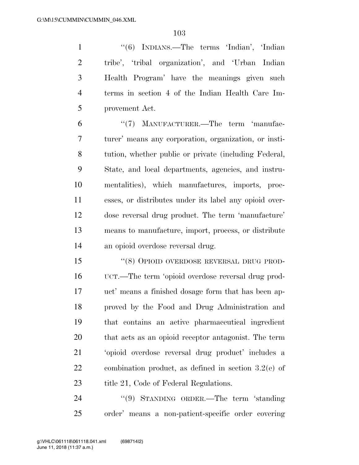''(6) INDIANS.—The terms 'Indian', 'Indian tribe', 'tribal organization', and 'Urban Indian Health Program' have the meanings given such terms in section 4 of the Indian Health Care Im-provement Act.

6 "(7) MANUFACTURER.—The term 'manufac- turer' means any corporation, organization, or insti- tution, whether public or private (including Federal, State, and local departments, agencies, and instru- mentalities), which manufactures, imports, proc- esses, or distributes under its label any opioid over- dose reversal drug product. The term 'manufacture' means to manufacture, import, process, or distribute an opioid overdose reversal drug.

 ''(8) OPIOID OVERDOSE REVERSAL DRUG PROD- UCT.—The term 'opioid overdose reversal drug prod- uct' means a finished dosage form that has been ap- proved by the Food and Drug Administration and that contains an active pharmaceutical ingredient that acts as an opioid receptor antagonist. The term 'opioid overdose reversal drug product' includes a combination product, as defined in section 3.2(e) of 23 title 21, Code of Federal Regulations.

24 "(9) STANDING ORDER.—The term 'standing order' means a non-patient-specific order covering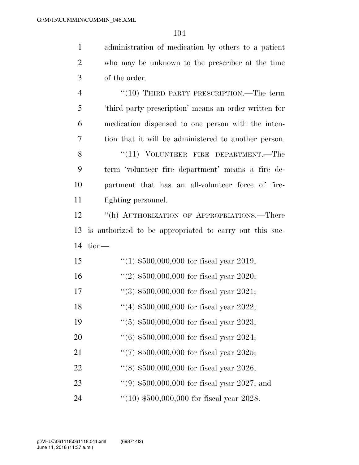administration of medication by others to a patient

| $\overline{2}$ | who may be unknown to the prescriber at the time        |
|----------------|---------------------------------------------------------|
| 3              | of the order.                                           |
| $\overline{4}$ | $``(10)$ THIRD PARTY PRESCRIPTION.—The term             |
| 5              | 'third party prescription' means an order written for   |
| 6              | medication dispensed to one person with the inten-      |
| 7              | tion that it will be administered to another person.    |
| 8              | "(11) VOLUNTEER FIRE DEPARTMENT.—The                    |
| 9              | term 'volunteer fire department' means a fire de-       |
| 10             | partment that has an all-volunteer force of fire-       |
| 11             | fighting personnel.                                     |
| 12             | "(h) AUTHORIZATION OF APPROPRIATIONS.—There             |
| 13             | is authorized to be appropriated to carry out this suc- |
| 14             | tion-                                                   |
| 15             | "(1) $$500,000,000$ for fiscal year 2019;               |
| 16             | "(2) $$500,000,000$ for fiscal year 2020;               |
| 17             | $(3)$ \$500,000,000 for fiscal year 2021;               |
| 18             | "(4) $$500,000,000$ for fiscal year 2022;               |
| 19             | $(5)$ \$500,000,000 for fiscal year 2023;               |
| 20             | $(6)$ \$500,000,000 for fiscal year 2024;               |
| 21             | "(7) $$500,000,000$ for fiscal year 2025;               |
| 22             | $(8)$ \$500,000,000 for fiscal year 2026;               |
| 23             | $(9)$ \$500,000,000 for fiscal year 2027; and           |
| 24             | $``(10)$ \$500,000,000 for fiscal year 2028.            |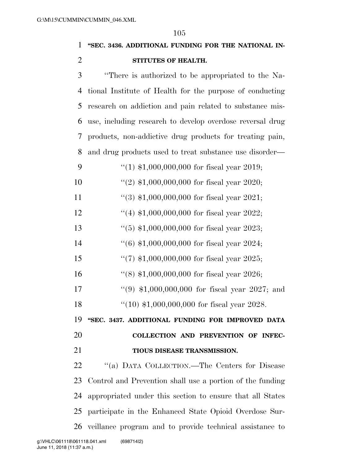# **''SEC. 3436. ADDITIONAL FUNDING FOR THE NATIONAL IN-STITUTES OF HEALTH.**

 ''There is authorized to be appropriated to the Na- tional Institute of Health for the purpose of conducting research on addiction and pain related to substance mis- use, including research to develop overdose reversal drug products, non-addictive drug products for treating pain, and drug products used to treat substance use disorder— 9 "(1)  $$1,000,000,000$  for fiscal year 2019; ''(2) \$1,000,000,000 for fiscal year 2020; 11 ''(3) \$1,000,000,000 for fiscal year 2021; ''(4) \$1,000,000,000 for fiscal year 2022; ''(5) \$1,000,000,000 for fiscal year 2023; ''(6) \$1,000,000,000 for fiscal year 2024; ''(7) \$1,000,000,000 for fiscal year 2025; ''(8) \$1,000,000,000 for fiscal year 2026; ''(9) \$1,000,000,000 for fiscal year 2027; and ''(10) \$1,000,000,000 for fiscal year 2028. **''SEC. 3437. ADDITIONAL FUNDING FOR IMPROVED DATA COLLECTION AND PREVENTION OF INFEC- TIOUS DISEASE TRANSMISSION.**  ''(a) DATA COLLECTION.—The Centers for Disease Control and Prevention shall use a portion of the funding appropriated under this section to ensure that all States participate in the Enhanced State Opioid Overdose Sur-veillance program and to provide technical assistance to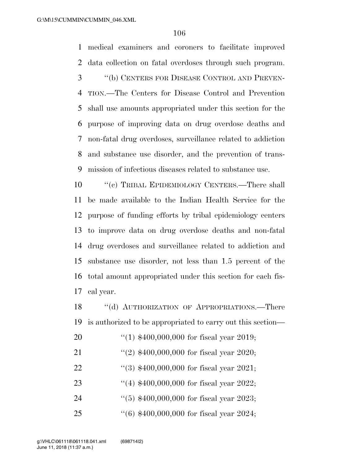medical examiners and coroners to facilitate improved data collection on fatal overdoses through such program. ''(b) CENTERS FOR DISEASE CONTROL AND PREVEN-

 TION.—The Centers for Disease Control and Prevention shall use amounts appropriated under this section for the purpose of improving data on drug overdose deaths and non-fatal drug overdoses, surveillance related to addiction and substance use disorder, and the prevention of trans-mission of infectious diseases related to substance use.

 ''(c) TRIBAL EPIDEMIOLOGY CENTERS.—There shall be made available to the Indian Health Service for the purpose of funding efforts by tribal epidemiology centers to improve data on drug overdose deaths and non-fatal drug overdoses and surveillance related to addiction and substance use disorder, not less than 1.5 percent of the total amount appropriated under this section for each fis-cal year.

18 "(d) AUTHORIZATION OF APPROPRIATIONS.—There is authorized to be appropriated to carry out this section—

- ''(1) \$400,000,000 for fiscal year 2019;
- 21 ''(2) \$400,000,000 for fiscal year 2020;
- ''(3) \$400,000,000 for fiscal year 2021;
- ''(4) \$400,000,000 for fiscal year 2022;
- ''(5) \$400,000,000 for fiscal year 2023;
- ''(6) \$400,000,000 for fiscal year 2024;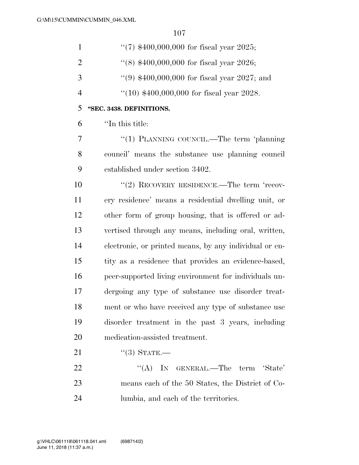| $\mathbf{1}$   | $(7)$ \$400,000,000 for fiscal year 2025;              |
|----------------|--------------------------------------------------------|
| $\overline{2}$ | $(18)$ \$400,000,000 for fiscal year 2026;             |
| 3              | $(9)$ \$400,000,000 for fiscal year 2027; and          |
| $\overline{4}$ | $(10)$ \$400,000,000 for fiscal year 2028.             |
| 5              | "SEC. 3438. DEFINITIONS.                               |
| 6              | "In this title:                                        |
| 7              | "(1) PLANNING COUNCIL.—The term 'planning              |
| 8              | council' means the substance use planning council      |
| 9              | established under section 3402.                        |
| 10             | "(2) RECOVERY RESIDENCE.—The term 'recov-              |
| 11             | ery residence' means a residential dwelling unit, or   |
| 12             | other form of group housing, that is offered or ad-    |
| 13             | vertised through any means, including oral, written,   |
| 14             | electronic, or printed means, by any individual or en- |
| 15             | tity as a residence that provides an evidence-based,   |
| 16             | peer-supported living environment for individuals un-  |
| 17             | dergoing any type of substance use disorder treat-     |
| 18             | ment or who have received any type of substance use    |
| 19             | disorder treatment in the past 3 years, including      |
| 20             | medication-assisted treatment.                         |
| 21             | $\lq(3)$ STATE.—                                       |
| 22             | ``(A)<br>IN GENERAL.—The term 'State'                  |
| 23             | means each of the 50 States, the District of Co-       |
| 24             | lumbia, and each of the territories.                   |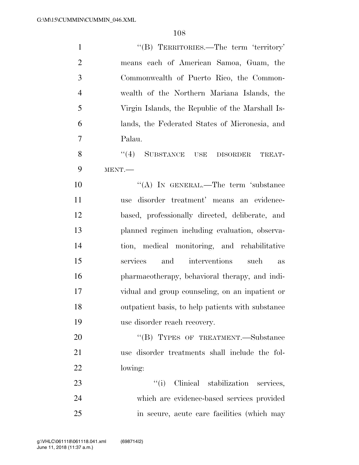| $\mathbf{1}$   | "(B) TERRITORIES.—The term 'territory'            |
|----------------|---------------------------------------------------|
| $\overline{2}$ | means each of American Samoa, Guam, the           |
| 3              | Commonwealth of Puerto Rico, the Common-          |
| $\overline{4}$ | wealth of the Northern Mariana Islands, the       |
| 5              | Virgin Islands, the Republic of the Marshall Is-  |
| 6              | lands, the Federated States of Micronesia, and    |
| $\overline{7}$ | Palau.                                            |
| 8              | (4)<br>SUBSTANCE USE DISORDER<br>TREAT-           |
| 9              | MENT.                                             |
| 10             | "(A) IN GENERAL.—The term 'substance              |
| 11             | use disorder treatment' means an evidence-        |
| 12             | based, professionally directed, deliberate, and   |
| 13             | planned regimen including evaluation, observa-    |
| 14             | tion, medical monitoring, and rehabilitative      |
| 15             | and<br>services<br>interventions<br>such<br>as    |
| 16             | pharmacotherapy, behavioral therapy, and indi-    |
| 17             | vidual and group counseling, on an inpatient or   |
| 18             | outpatient basis, to help patients with substance |
| 19             | use disorder reach recovery.                      |
| 20             | "(B) TYPES OF TREATMENT.—Substance                |
| 21             | use disorder treatments shall include the fol-    |
| 22             | lowing:                                           |
| 23             | "(i) Clinical stabilization services,             |
| 24             | which are evidence-based services provided        |
| 25             | in secure, acute care facilities (which may       |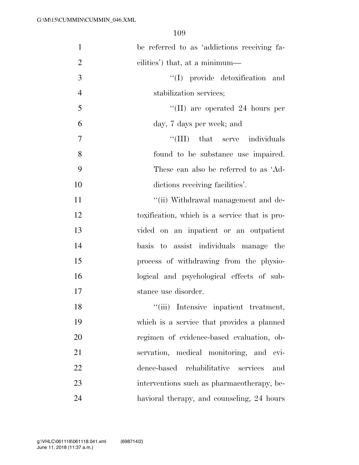| $\mathbf{1}$   | be referred to as 'addictions receiving fa-   |
|----------------|-----------------------------------------------|
| $\overline{2}$ | cilities') that, at a minimum—                |
| 3              | "(I) provide detoxification and               |
| $\overline{4}$ | stabilization services;                       |
| 5              | "(II) are operated 24 hours per               |
| 6              | day, 7 days per week; and                     |
| $\overline{7}$ | "(III) that serve individuals                 |
| 8              | found to be substance use impaired.           |
| 9              | These can also be referred to as 'Ad-         |
| 10             | dictions receiving facilities'.               |
| 11             | "(ii) Withdrawal management and de-           |
| 12             | toxification, which is a service that is pro- |
| 13             | vided on an inpatient or an outpatient        |
| 14             | basis to assist individuals manage the        |
| 15             | process of withdrawing from the physio-       |
| 16             | logical and psychological effects of sub-     |
| 17             | stance use disorder.                          |
| 18             | "(iii) Intensive inpatient treatment,         |
| 19             | which is a service that provides a planned    |
| 20             | regimen of evidence-based evaluation, ob-     |
| 21             | servation, medical monitoring, and evi-       |
| 22             | dence-based rehabilitative<br>services<br>and |
| 23             | interventions such as pharmacotherapy, be-    |
| 24             | havioral therapy, and counseling, 24 hours    |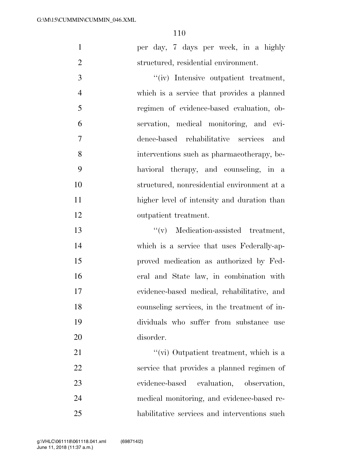|  |  |  |                                      |  | per day, 7 days per week, in a highly |
|--|--|--|--------------------------------------|--|---------------------------------------|
|  |  |  | structured, residential environment. |  |                                       |

 $''(iv)$  Intensive outpatient treatment, which is a service that provides a planned regimen of evidence-based evaluation, ob- servation, medical monitoring, and evi- dence-based rehabilitative services and interventions such as pharmacotherapy, be- havioral therapy, and counseling, in a structured, nonresidential environment at a higher level of intensity and duration than outpatient treatment.

 ''(v) Medication-assisted treatment, which is a service that uses Federally-ap- proved medication as authorized by Fed- eral and State law, in combination with evidence-based medical, rehabilitative, and counseling services, in the treatment of in- dividuals who suffer from substance use disorder.

21 ''(vi) Outpatient treatment, which is a service that provides a planned regimen of evidence-based evaluation, observation, medical monitoring, and evidence-based re-habilitative services and interventions such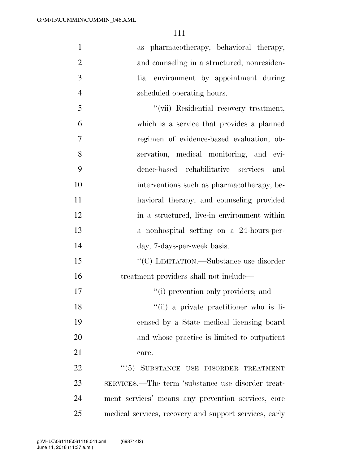as pharmacotherapy, behavioral therapy, 2 and counseling in a structured, nonresiden- tial environment by appointment during scheduled operating hours. ''(vii) Residential recovery treatment, which is a service that provides a planned regimen of evidence-based evaluation, ob- servation, medical monitoring, and evi- dence-based rehabilitative services and interventions such as pharmacotherapy, be-havioral therapy, and counseling provided

12 in a structured, live-in environment within a nonhospital setting on a 24-hours-per-day, 7-days-per-week basis.

15 "'(C) LIMITATION.—Substance use disorder treatment providers shall not include—

17  $\frac{1}{10}$  prevention only providers; and

''(ii) a private practitioner who is li-

 censed by a State medical licensing board and whose practice is limited to outpatient 21 care.

22 "(5) SUBSTANCE USE DISORDER TREATMENT SERVICES.—The term 'substance use disorder treat- ment services' means any prevention services, core medical services, recovery and support services, early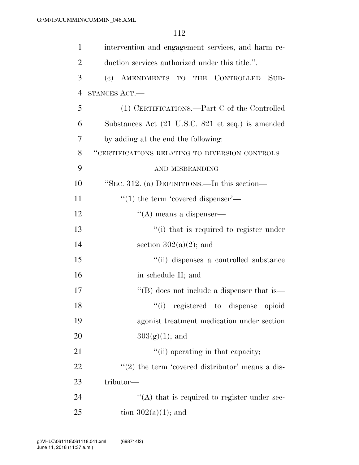| $\mathbf{1}$   | intervention and engagement services, and harm re-                      |
|----------------|-------------------------------------------------------------------------|
| $\overline{2}$ | duction services authorized under this title.".                         |
| 3              | CONTROLLED<br>$\left( \mathrm{e}\right)$<br>AMENDMENTS TO THE<br>$SUB-$ |
| $\overline{4}$ | STANCES ACT.—                                                           |
| 5              | (1) CERTIFICATIONS.—Part C of the Controlled                            |
| 6              | Substances Act (21 U.S.C. 821 et seq.) is amended                       |
| 7              | by adding at the end the following:                                     |
| 8              | "CERTIFICATIONS RELATING TO DIVERSION CONTROLS                          |
| 9              | AND MISBRANDING                                                         |
| 10             | "SEC. 312. (a) DEFINITIONS.—In this section—                            |
| 11             | $\cdot\cdot(1)$ the term 'covered dispenser'—                           |
| 12             | $\lq\lq$ means a dispenser—                                             |
| 13             | "(i) that is required to register under                                 |
| 14             | section $302(a)(2)$ ; and                                               |
| 15             | "(ii) dispenses a controlled substance                                  |
| 16             | in schedule II; and                                                     |
| 17             | "(B) does not include a dispenser that is—                              |
| 18             | "(i) registered to dispense opioid                                      |
| 19             | agonist treatment medication under section                              |
| 20             | $303(g)(1)$ ; and                                                       |
| 21             | "(ii) operating in that capacity;                                       |
| 22             | $\cdot\cdot\cdot(2)$ the term 'covered distributor' means a dis-        |
| 23             | tributor—                                                               |
| 24             | $\cdot$ (A) that is required to register under sec-                     |
| 25             | tion $302(a)(1)$ ; and                                                  |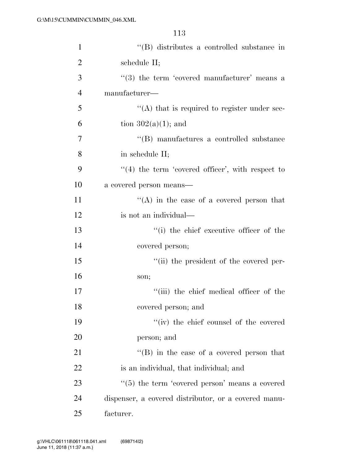| $\mathbf{1}$   | "(B) distributes a controlled substance in                 |
|----------------|------------------------------------------------------------|
| $\overline{2}$ | schedule II;                                               |
| 3              | $(3)$ the term 'covered manufacturer' means a              |
| $\overline{4}$ | manufacturer—                                              |
| 5              | $\lq\lq$ that is required to register under sec-           |
| 6              | tion $302(a)(1)$ ; and                                     |
| $\overline{7}$ | "(B) manufactures a controlled substance                   |
| 8              | in schedule II;                                            |
| 9              | $\lq(4)$ the term 'covered officer', with respect to       |
| 10             | a covered person means—                                    |
| 11             | $\lq\lq$ in the case of a covered person that              |
| 12             | is not an individual—                                      |
| 13             | "(i) the chief executive officer of the                    |
| 14             | covered person;                                            |
| 15             | "(ii) the president of the covered per-                    |
| 16             | son;                                                       |
| 17             | "(iii) the chief medical officer of the                    |
| 18             | covered person; and                                        |
| 19             | "(iv) the chief counsel of the covered                     |
| 20             | person; and                                                |
| 21             | "(B) in the case of a covered person that                  |
| 22             | is an individual, that individual; and                     |
| 23             | $\cdot\cdot$ (5) the term 'covered person' means a covered |
| 24             | dispenser, a covered distributor, or a covered manu-       |
| 25             | facturer.                                                  |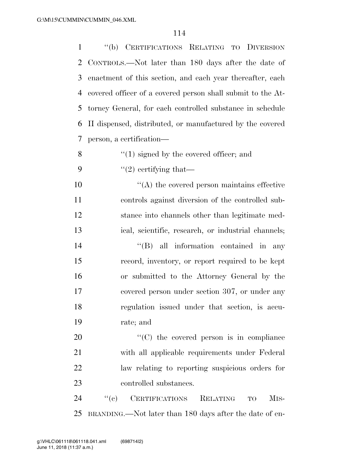''(b) CERTIFICATIONS RELATING TO DIVERSION CONTROLS.—Not later than 180 days after the date of enactment of this section, and each year thereafter, each covered officer of a covered person shall submit to the At- torney General, for each controlled substance in schedule II dispensed, distributed, or manufactured by the covered person, a certification—  $\mathcal{S}$  ''(1) signed by the covered officer; and  $\frac{1}{2}$  certifying that— ''(A) the covered person maintains effective controls against diversion of the controlled sub- stance into channels other than legitimate med-ical, scientific, research, or industrial channels;

 $''(B)$  all information contained in any record, inventory, or report required to be kept or submitted to the Attorney General by the covered person under section 307, or under any regulation issued under that section, is accu-rate; and

 $\cdot$  (C) the covered person is in compliance with all applicable requirements under Federal law relating to reporting suspicious orders for controlled substances.

24 "(c) CERTIFICATIONS RELATING TO MIS-BRANDING.—Not later than 180 days after the date of en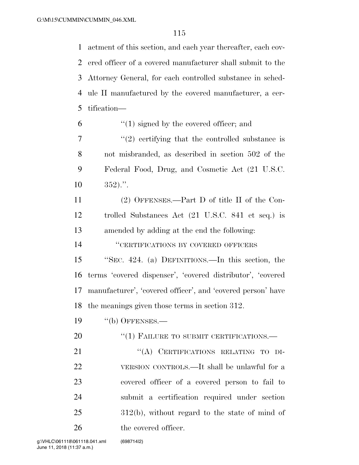actment of this section, and each year thereafter, each cov- ered officer of a covered manufacturer shall submit to the Attorney General, for each controlled substance in sched- ule II manufactured by the covered manufacturer, a cer-tification—

- $(1)$  signed by the covered officer; and
- $7 \t$ ''(2) certifying that the controlled substance is not misbranded, as described in section 502 of the Federal Food, Drug, and Cosmetic Act (21 U.S.C.  $10 \t 352$ .".
- (2) OFFENSES.—Part D of title II of the Con- trolled Substances Act (21 U.S.C. 841 et seq.) is amended by adding at the end the following:

''CERTIFICATIONS BY COVERED OFFICERS

 ''SEC. 424. (a) DEFINITIONS.—In this section, the terms 'covered dispenser', 'covered distributor', 'covered manufacturer', 'covered officer', and 'covered person' have the meanings given those terms in section 312.

''(b) OFFENSES.—

20 "(1) FAILURE TO SUBMIT CERTIFICATIONS.—

21 "(A) CERTIFICATIONS RELATING TO DI- VERSION CONTROLS.—It shall be unlawful for a covered officer of a covered person to fail to submit a certification required under section 312(b), without regard to the state of mind of the covered officer.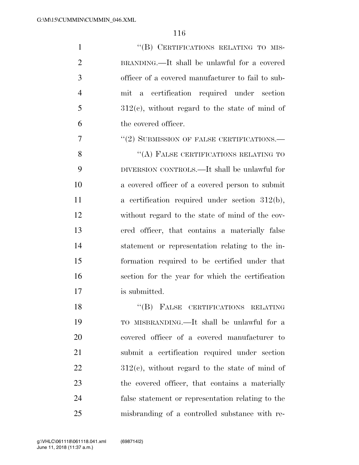1 "(B) CERTIFICATIONS RELATING TO MIS- BRANDING.—It shall be unlawful for a covered officer of a covered manufacturer to fail to sub- mit a certification required under section  $5 \qquad \qquad 312(e)$ , without regard to the state of mind of the covered officer.

7 "(2) SUBMISSION OF FALSE CERTIFICATIONS.—

8 "(A) FALSE CERTIFICATIONS RELATING TO DIVERSION CONTROLS.—It shall be unlawful for a covered officer of a covered person to submit 11 a certification required under section 312(b), without regard to the state of mind of the cov- ered officer, that contains a materially false statement or representation relating to the in- formation required to be certified under that section for the year for which the certification is submitted.

18 "(B) FALSE CERTIFICATIONS RELATING TO MISBRANDING.—It shall be unlawful for a covered officer of a covered manufacturer to submit a certification required under section  $22 \t 312(e)$ , without regard to the state of mind of the covered officer, that contains a materially false statement or representation relating to the misbranding of a controlled substance with re-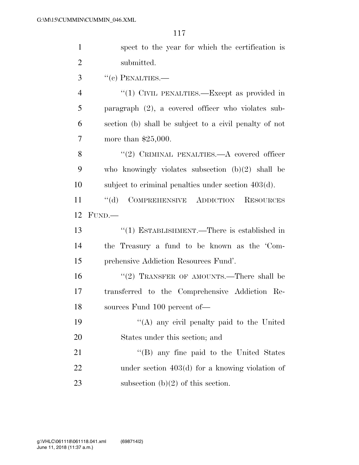| $\mathbf{1}$   | spect to the year for which the certification is            |
|----------------|-------------------------------------------------------------|
| $\overline{2}$ | submitted.                                                  |
| 3              | $``$ (c) PENALTIES.—                                        |
| $\overline{4}$ | "(1) CIVIL PENALTIES.—Except as provided in                 |
| 5              | paragraph $(2)$ , a covered officer who violates sub-       |
| 6              | section (b) shall be subject to a civil penalty of not      |
| 7              | more than $$25,000$ .                                       |
| 8              | "(2) CRIMINAL PENALTIES.— $A$ covered officer               |
| 9              | who knowingly violates subsection $(b)(2)$ shall be         |
| 10             | subject to criminal penalties under section $403(d)$ .      |
| 11             | $\lq\lq (d)$<br>COMPREHENSIVE ADDICTION<br><b>RESOURCES</b> |
| 12             | FUND.                                                       |
|                |                                                             |
| 13             | "(1) ESTABLISHMENT.—There is established in                 |
| 14             | the Treasury a fund to be known as the 'Com-                |
| 15             | prehensive Addiction Resources Fund'.                       |
| 16             | "(2) TRANSFER OF AMOUNTS.—There shall be                    |
| 17             | transferred to the Comprehensive Addiction Re-              |
| 18             | sources Fund 100 percent of-                                |
| 19             | "(A) any civil penalty paid to the United                   |
| 20             | States under this section; and                              |
| 21             | "(B) any fine paid to the United States                     |
| 22             | under section $403(d)$ for a knowing violation of           |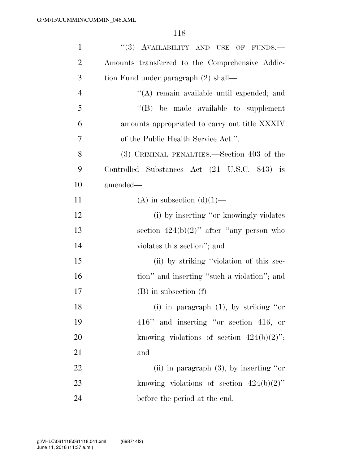| $\mathbf{1}$   | "(3) AVAILABILITY AND USE OF FUNDS.-            |
|----------------|-------------------------------------------------|
| $\overline{2}$ | Amounts transferred to the Comprehensive Addic- |
| 3              | tion Fund under paragraph (2) shall—            |
| $\overline{4}$ | "(A) remain available until expended; and       |
| 5              | $\lq\lq$ be made available to supplement        |
| 6              | amounts appropriated to carry out title XXXIV   |
| 7              | of the Public Health Service Act.".             |
| 8              | (3) CRIMINAL PENALTIES.—Section 403 of the      |
| 9              | Controlled Substances Act (21 U.S.C. 843) is    |
| 10             | amended—                                        |
| 11             | (A) in subsection $(d)(1)$ —                    |
| 12             | (i) by inserting "or knowingly violates         |
| 13             | section $424(b)(2)$ " after "any person who     |
| 14             | violates this section"; and                     |
| 15             | (ii) by striking "violation of this sec-        |
| 16             | tion" and inserting "such a violation"; and     |
| 17             | $(B)$ in subsection $(f)$ —                     |
| 18             | (i) in paragraph $(1)$ , by striking "or        |
| 19             | 416" and inserting "or section 416, or          |
| 20             | knowing violations of section $424(b)(2)$ ";    |
| 21             | and                                             |
| 22             | (ii) in paragraph $(3)$ , by inserting "or"     |
| 23             | knowing violations of section $424(b)(2)$ "     |
| 24             | before the period at the end.                   |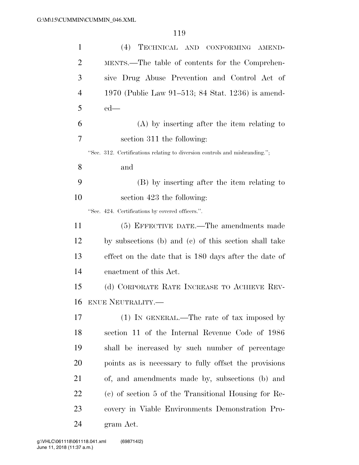| $\mathbf{1}$   | (4)<br>TECHNICAL AND CONFORMING AMEND-                                      |
|----------------|-----------------------------------------------------------------------------|
| $\overline{2}$ | MENTS.—The table of contents for the Comprehen-                             |
| 3              | sive Drug Abuse Prevention and Control Act of                               |
| $\overline{4}$ | 1970 (Public Law 91–513; 84 Stat. 1236) is amend-                           |
| 5              | $ed$ —                                                                      |
| 6              | (A) by inserting after the item relating to                                 |
| 7              | section 311 the following:                                                  |
|                | "Sec. 312. Certifications relating to diversion controls and misbranding."; |
| 8              | and                                                                         |
| 9              | (B) by inserting after the item relating to                                 |
| 10             | section 423 the following:                                                  |
|                | "Sec. 424. Certifications by covered officers.".                            |
| 11             | (5) EFFECTIVE DATE.—The amendments made                                     |
| 12             | by subsections (b) and (c) of this section shall take                       |
| 13             | effect on the date that is 180 days after the date of                       |
| 14             | enactment of this Act.                                                      |
| 15             | (d) CORPORATE RATE INCREASE TO ACHIEVE REV-                                 |
| 16             | <b>ENUE NEUTRALITY.—</b>                                                    |
| 17             | $(1)$ In GENERAL.—The rate of tax imposed by                                |
| 18             | section 11 of the Internal Revenue Code of 1986                             |
| 19             | shall be increased by such number of percentage                             |
| 20             | points as is necessary to fully offset the provisions                       |
| 21             | of, and amendments made by, subsections (b) and                             |
| 22             | (c) of section 5 of the Transitional Housing for Re-                        |
| 23             | covery in Viable Environments Demonstration Pro-                            |
| 24             | gram Act.                                                                   |